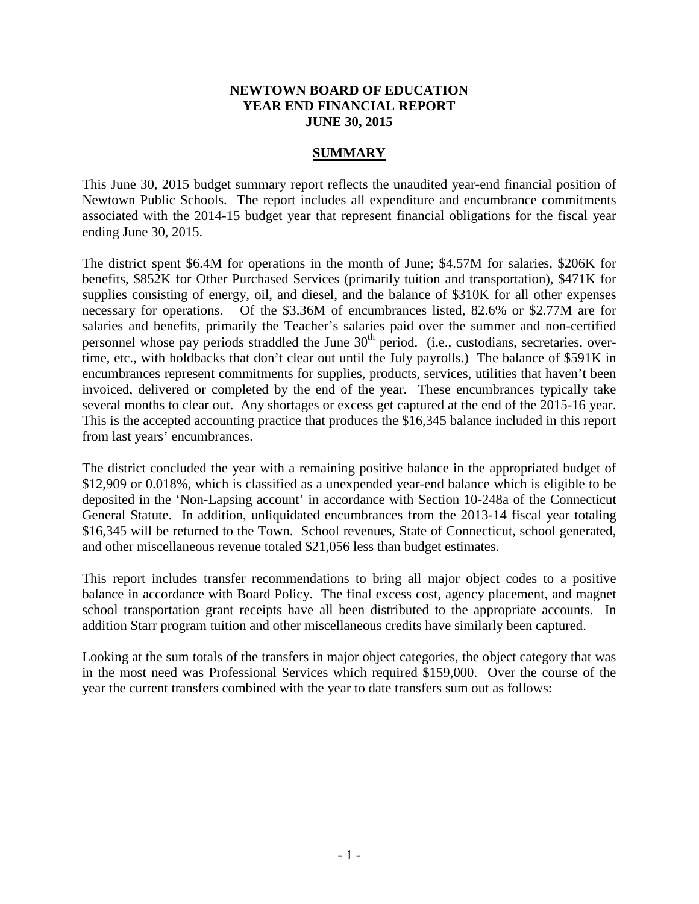# **NEWTOWN BOARD OF EDUCATION YEAR END FINANCIAL REPORT JUNE 30, 2015**

# **SUMMARY**

This June 30, 2015 budget summary report reflects the unaudited year-end financial position of Newtown Public Schools. The report includes all expenditure and encumbrance commitments associated with the 2014-15 budget year that represent financial obligations for the fiscal year ending June 30, 2015.

The district spent \$6.4M for operations in the month of June; \$4.57M for salaries, \$206K for benefits, \$852K for Other Purchased Services (primarily tuition and transportation), \$471K for supplies consisting of energy, oil, and diesel, and the balance of \$310K for all other expenses necessary for operations. Of the \$3.36M of encumbrances listed, 82.6% or \$2.77M are for salaries and benefits, primarily the Teacher's salaries paid over the summer and non-certified personnel whose pay periods straddled the June 30<sup>th</sup> period. (i.e., custodians, secretaries, overtime, etc., with holdbacks that don't clear out until the July payrolls.) The balance of \$591K in encumbrances represent commitments for supplies, products, services, utilities that haven't been invoiced, delivered or completed by the end of the year. These encumbrances typically take several months to clear out. Any shortages or excess get captured at the end of the 2015-16 year. This is the accepted accounting practice that produces the \$16,345 balance included in this report from last years' encumbrances.

The district concluded the year with a remaining positive balance in the appropriated budget of \$12,909 or 0.018%, which is classified as a unexpended year-end balance which is eligible to be deposited in the 'Non-Lapsing account' in accordance with Section 10-248a of the Connecticut General Statute. In addition, unliquidated encumbrances from the 2013-14 fiscal year totaling \$16,345 will be returned to the Town. School revenues, State of Connecticut, school generated, and other miscellaneous revenue totaled \$21,056 less than budget estimates.

This report includes transfer recommendations to bring all major object codes to a positive balance in accordance with Board Policy. The final excess cost, agency placement, and magnet school transportation grant receipts have all been distributed to the appropriate accounts. In addition Starr program tuition and other miscellaneous credits have similarly been captured.

Looking at the sum totals of the transfers in major object categories, the object category that was in the most need was Professional Services which required \$159,000. Over the course of the year the current transfers combined with the year to date transfers sum out as follows: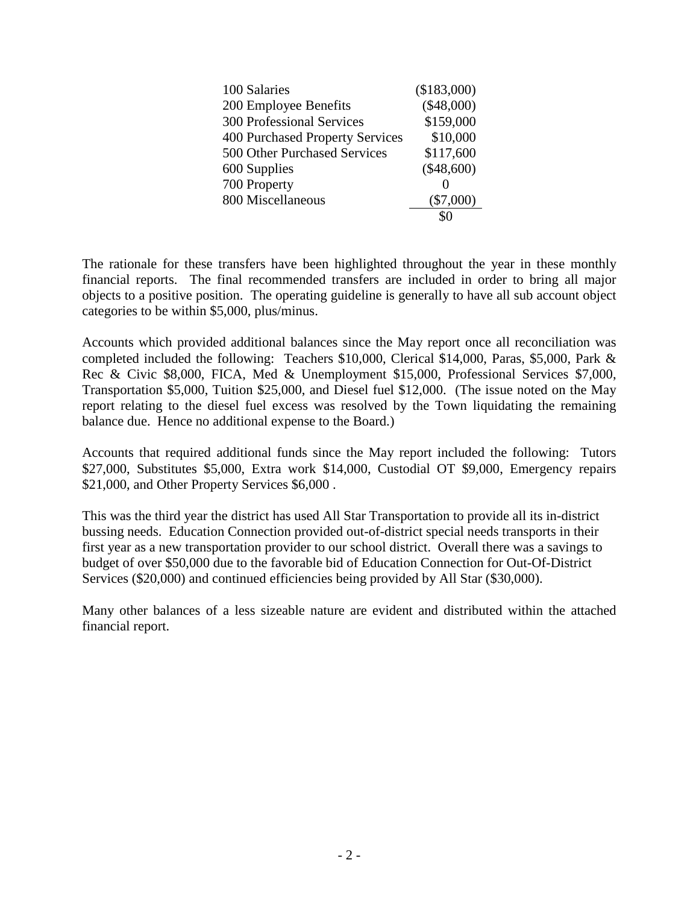| 100 Salaries                     | (\$183,000)  |
|----------------------------------|--------------|
| 200 Employee Benefits            | $(\$48,000)$ |
| <b>300 Professional Services</b> | \$159,000    |
| 400 Purchased Property Services  | \$10,000     |
| 500 Other Purchased Services     | \$117,600    |
| 600 Supplies                     | $(\$48,600)$ |
| 700 Property                     |              |
| 800 Miscellaneous                | $(\$7,000)$  |
|                                  |              |

The rationale for these transfers have been highlighted throughout the year in these monthly financial reports. The final recommended transfers are included in order to bring all major objects to a positive position. The operating guideline is generally to have all sub account object categories to be within \$5,000, plus/minus.

Accounts which provided additional balances since the May report once all reconciliation was completed included the following: Teachers \$10,000, Clerical \$14,000, Paras, \$5,000, Park & Rec & Civic \$8,000, FICA, Med & Unemployment \$15,000, Professional Services \$7,000, Transportation \$5,000, Tuition \$25,000, and Diesel fuel \$12,000. (The issue noted on the May report relating to the diesel fuel excess was resolved by the Town liquidating the remaining balance due. Hence no additional expense to the Board.)

Accounts that required additional funds since the May report included the following: Tutors \$27,000, Substitutes \$5,000, Extra work \$14,000, Custodial OT \$9,000, Emergency repairs \$21,000, and Other Property Services \$6,000.

This was the third year the district has used All Star Transportation to provide all its in-district bussing needs. Education Connection provided out-of-district special needs transports in their first year as a new transportation provider to our school district. Overall there was a savings to budget of over \$50,000 due to the favorable bid of Education Connection for Out-Of-District Services (\$20,000) and continued efficiencies being provided by All Star (\$30,000).

Many other balances of a less sizeable nature are evident and distributed within the attached financial report.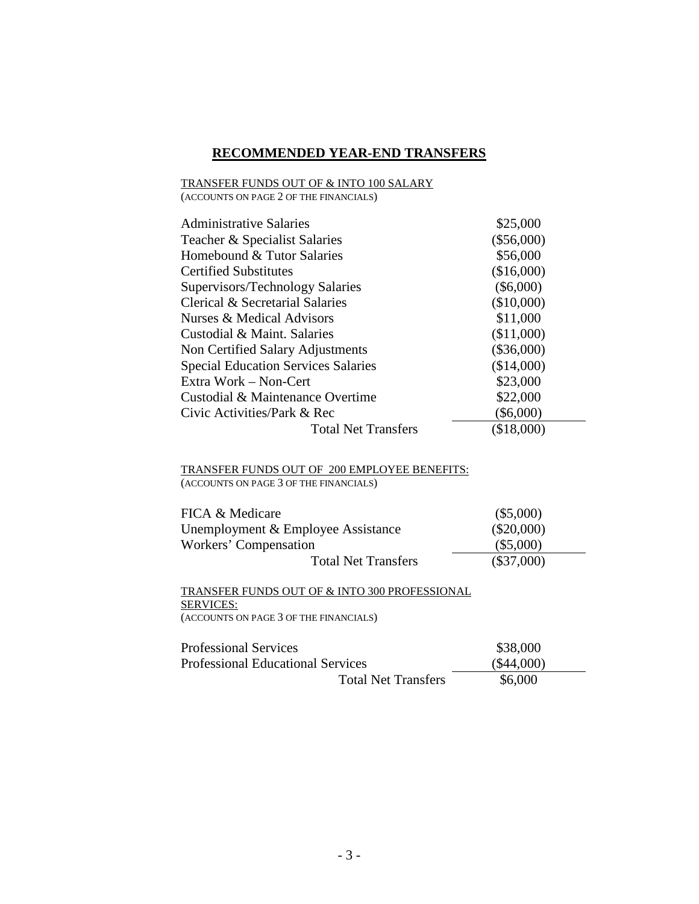# **RECOMMENDED YEAR-END TRANSFERS**

# TRANSFER FUNDS OUT OF & INTO 100 SALARY

(ACCOUNTS ON PAGE 2 OF THE FINANCIALS)

| <b>Administrative Salaries</b>             | \$25,000     |
|--------------------------------------------|--------------|
| Teacher & Specialist Salaries              | $(\$56,000)$ |
| Homebound & Tutor Salaries                 | \$56,000     |
| <b>Certified Substitutes</b>               | (\$16,000)   |
| Supervisors/Technology Salaries            | $(\$6,000)$  |
| Clerical & Secretarial Salaries            | (\$10,000)   |
| Nurses & Medical Advisors                  | \$11,000     |
| Custodial & Maint. Salaries                | (\$11,000)   |
| Non Certified Salary Adjustments           | $(\$36,000)$ |
| <b>Special Education Services Salaries</b> | (\$14,000)   |
| Extra Work – Non-Cert                      | \$23,000     |
| Custodial & Maintenance Overtime           | \$22,000     |
| Civic Activities/Park & Rec                | $(\$6,000)$  |
| <b>Total Net Transfers</b>                 | (\$18,000)   |

# TRANSFER FUNDS OUT OF 200 EMPLOYEE BENEFITS:

(ACCOUNTS ON PAGE 3 OF THE FINANCIALS)

| FICA & Medicare                    | (\$5,000)    |
|------------------------------------|--------------|
| Unemployment & Employee Assistance | $(\$20,000)$ |
| Workers' Compensation              | $(\$5,000)$  |
| <b>Total Net Transfers</b>         | $(\$37,000)$ |

# TRANSFER FUNDS OUT OF & INTO 300 PROFESSIONAL SERVICES: (ACCOUNTS ON PAGE 3 OF THE FINANCIALS)

| <b>Professional Services</b>             | \$38,000     |
|------------------------------------------|--------------|
| <b>Professional Educational Services</b> | $(\$44,000)$ |
| <b>Total Net Transfers</b>               | \$6,000      |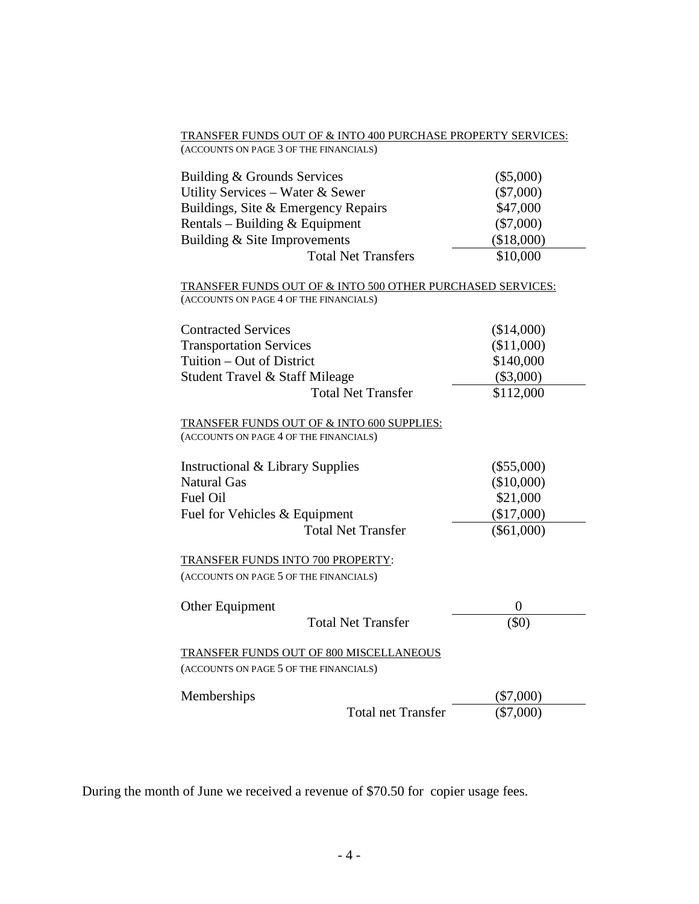# TRANSFER FUNDS OUT OF & INTO 400 PURCHASE PROPERTY SERVICES:

(ACCOUNTS ON PAGE 3 OF THE FINANCIALS)

| Building & Grounds Services         | $(\$5,000)$ |
|-------------------------------------|-------------|
| Utility Services - Water & Sewer    | $(\$7,000)$ |
| Buildings, Site & Emergency Repairs | \$47,000    |
| Rentals – Building $&$ Equipment    | $(\$7,000)$ |
| Building & Site Improvements        | (\$18,000)  |
| <b>Total Net Transfers</b>          | \$10,000    |

#### TRANSFER FUNDS OUT OF & INTO 500 OTHER PURCHASED SERVICES: (ACCOUNTS ON PAGE 4 OF THE FINANCIALS)

| <b>Contracted Services</b>     | (\$14,000)  |
|--------------------------------|-------------|
| <b>Transportation Services</b> | (\$11,000)  |
| Tuition – Out of District      | \$140,000   |
| Student Travel & Staff Mileage | $(\$3,000)$ |
| <b>Total Net Transfer</b>      | \$112,000   |

#### TRANSFER FUNDS OUT OF & INTO 600 SUPPLIES: (ACCOUNTS ON PAGE 4 OF THE FINANCIALS)

| Instructional & Library Supplies | $(\$55,000)$ |
|----------------------------------|--------------|
| <b>Natural Gas</b>               | (\$10,000)   |
| Fuel Oil                         | \$21,000     |
| Fuel for Vehicles & Equipment    | (\$17,000)   |
| <b>Total Net Transfer</b>        | $(\$61,000)$ |

# TRANSFER FUNDS INTO 700 PROPERTY:

(ACCOUNTS ON PAGE 5 OF THE FINANCIALS)

| Other Equipment                                |       |
|------------------------------------------------|-------|
| <b>Total Net Transfer</b>                      | (\$0) |
| <b>TRANSFER FUNDS OUT OF 800 MISCELLANEOUS</b> |       |
| (ACCOUNTS ON PAGE 5 OF THE FINANCIALS)         |       |

Memberships (\$7,000)<br>Total net Transfer (\$7,000) Total net Transfer

During the month of June we received a revenue of \$70.50 for copier usage fees.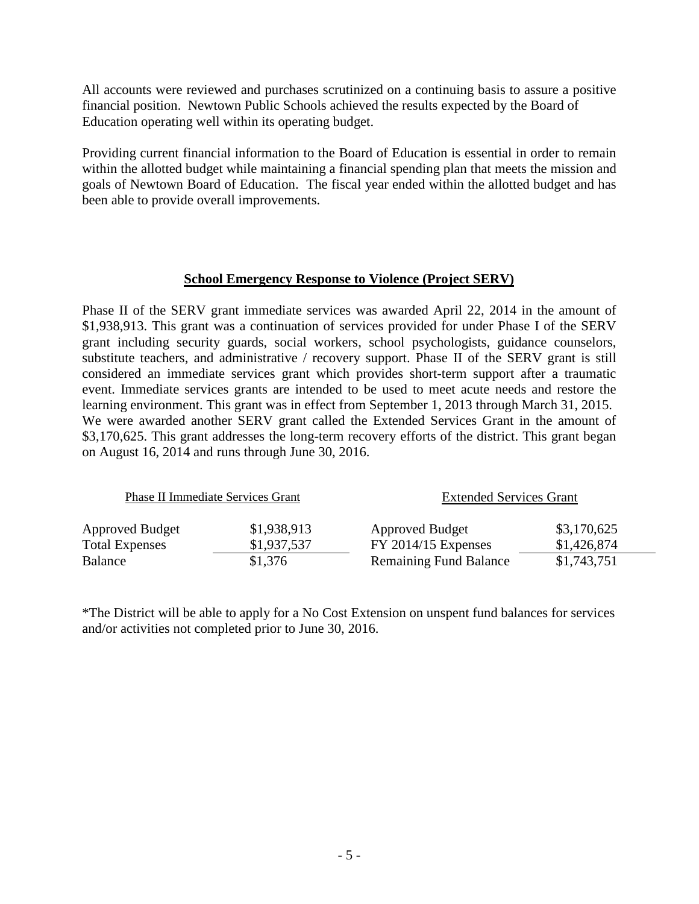All accounts were reviewed and purchases scrutinized on a continuing basis to assure a positive financial position. Newtown Public Schools achieved the results expected by the Board of Education operating well within its operating budget.

Providing current financial information to the Board of Education is essential in order to remain within the allotted budget while maintaining a financial spending plan that meets the mission and goals of Newtown Board of Education. The fiscal year ended within the allotted budget and has been able to provide overall improvements.

# **School Emergency Response to Violence (Project SERV)**

Phase II of the SERV grant immediate services was awarded April 22, 2014 in the amount of \$1,938,913. This grant was a continuation of services provided for under Phase I of the SERV grant including security guards, social workers, school psychologists, guidance counselors, substitute teachers, and administrative / recovery support. Phase II of the SERV grant is still considered an immediate services grant which provides short-term support after a traumatic event. Immediate services grants are intended to be used to meet acute needs and restore the learning environment. This grant was in effect from September 1, 2013 through March 31, 2015. We were awarded another SERV grant called the Extended Services Grant in the amount of \$3,170,625. This grant addresses the long-term recovery efforts of the district. This grant began on August 16, 2014 and runs through June 30, 2016.

|                                                 | <b>Phase II Immediate Services Grant</b> | <b>Extended Services Grant</b>                  |                            |
|-------------------------------------------------|------------------------------------------|-------------------------------------------------|----------------------------|
| <b>Approved Budget</b><br><b>Total Expenses</b> | \$1,938,913<br>\$1,937,537               | <b>Approved Budget</b><br>$FY$ 2014/15 Expenses | \$3,170,625<br>\$1,426,874 |
| <b>Balance</b>                                  | \$1,376                                  | <b>Remaining Fund Balance</b>                   | \$1,743,751                |

\*The District will be able to apply for a No Cost Extension on unspent fund balances for services and/or activities not completed prior to June 30, 2016.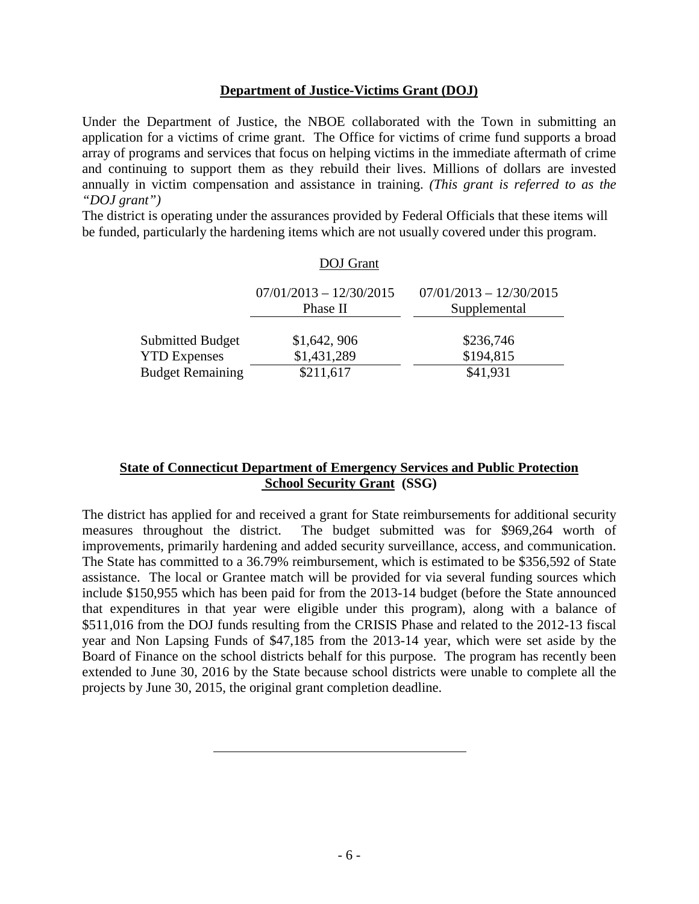# **Department of Justice-Victims Grant (DOJ)**

Under the Department of Justice, the NBOE collaborated with the Town in submitting an application for a victims of crime grant. The Office for victims of crime fund supports a broad array of programs and services that focus on helping victims in the immediate aftermath of crime and continuing to support them as they rebuild their lives. Millions of dollars are invested annually in victim compensation and assistance in training. *(This grant is referred to as the "DOJ grant")*

The district is operating under the assurances provided by Federal Officials that these items will be funded, particularly the hardening items which are not usually covered under this program.

DOJ Grant

|                                                | DUJ UIAIII                            |                                           |
|------------------------------------------------|---------------------------------------|-------------------------------------------|
|                                                | $07/01/2013 - 12/30/2015$<br>Phase II | $07/01/2013 - 12/30/2015$<br>Supplemental |
| <b>Submitted Budget</b><br><b>YTD Expenses</b> | \$1,642,906<br>\$1,431,289            | \$236,746<br>\$194,815                    |
| <b>Budget Remaining</b>                        | \$211,617                             | \$41,931                                  |

# **State of Connecticut Department of Emergency Services and Public Protection School Security Grant (SSG)**

The district has applied for and received a grant for State reimbursements for additional security measures throughout the district. The budget submitted was for \$969,264 worth of improvements, primarily hardening and added security surveillance, access, and communication. The State has committed to a 36.79% reimbursement, which is estimated to be \$356,592 of State assistance. The local or Grantee match will be provided for via several funding sources which include \$150,955 which has been paid for from the 2013-14 budget (before the State announced that expenditures in that year were eligible under this program), along with a balance of \$511,016 from the DOJ funds resulting from the CRISIS Phase and related to the 2012-13 fiscal year and Non Lapsing Funds of \$47,185 from the 2013-14 year, which were set aside by the Board of Finance on the school districts behalf for this purpose. The program has recently been extended to June 30, 2016 by the State because school districts were unable to complete all the projects by June 30, 2015, the original grant completion deadline.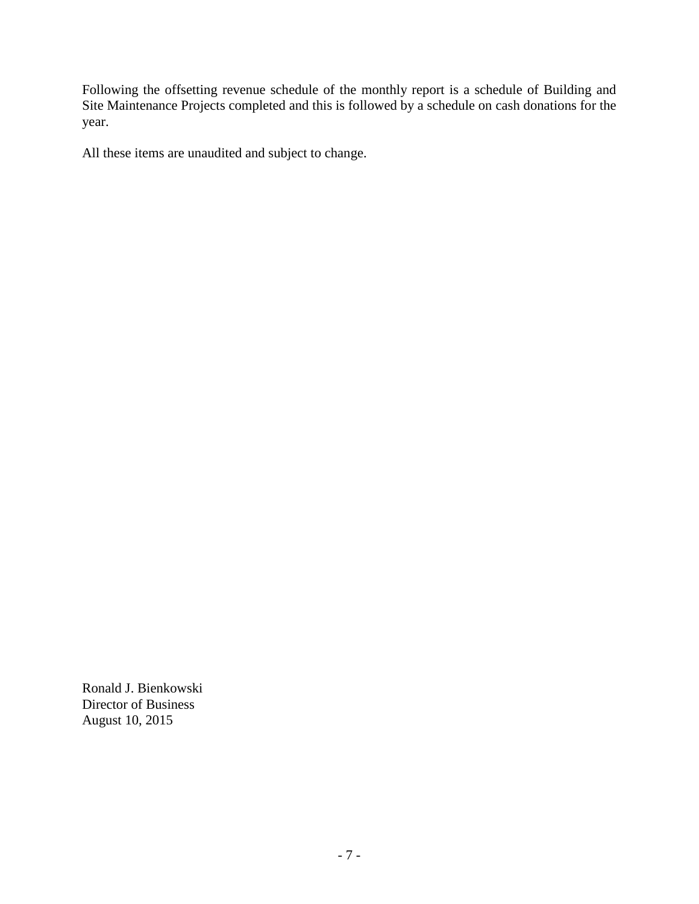Following the offsetting revenue schedule of the monthly report is a schedule of Building and Site Maintenance Projects completed and this is followed by a schedule on cash donations for the year.

All these items are unaudited and subject to change.

Ronald J. Bienkowski Director of Business August 10, 2015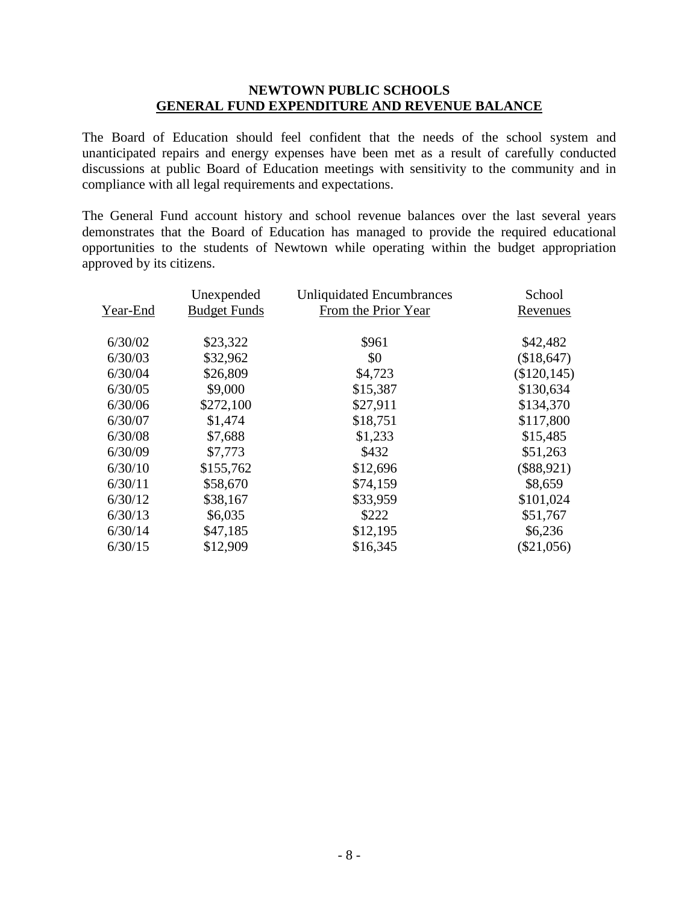# **NEWTOWN PUBLIC SCHOOLS GENERAL FUND EXPENDITURE AND REVENUE BALANCE**

The Board of Education should feel confident that the needs of the school system and unanticipated repairs and energy expenses have been met as a result of carefully conducted discussions at public Board of Education meetings with sensitivity to the community and in compliance with all legal requirements and expectations.

The General Fund account history and school revenue balances over the last several years demonstrates that the Board of Education has managed to provide the required educational opportunities to the students of Newtown while operating within the budget appropriation approved by its citizens.

|          | Unexpended          | <b>Unliquidated Encumbrances</b> | School       |
|----------|---------------------|----------------------------------|--------------|
| Year-End | <b>Budget Funds</b> | From the Prior Year              | Revenues     |
|          |                     |                                  |              |
| 6/30/02  | \$23,322            | \$961                            | \$42,482     |
| 6/30/03  | \$32,962            | \$0                              | (\$18,647)   |
| 6/30/04  | \$26,809            | \$4,723                          | (\$120, 145) |
| 6/30/05  | \$9,000             | \$15,387                         | \$130,634    |
| 6/30/06  | \$272,100           | \$27,911                         | \$134,370    |
| 6/30/07  | \$1,474             | \$18,751                         | \$117,800    |
| 6/30/08  | \$7,688             | \$1,233                          | \$15,485     |
| 6/30/09  | \$7,773             | \$432                            | \$51,263     |
| 6/30/10  | \$155,762           | \$12,696                         | $(\$88,921)$ |
| 6/30/11  | \$58,670            | \$74,159                         | \$8,659      |
| 6/30/12  | \$38,167            | \$33,959                         | \$101,024    |
| 6/30/13  | \$6,035             | \$222                            | \$51,767     |
| 6/30/14  | \$47,185            | \$12,195                         | \$6,236      |
| 6/30/15  | \$12,909            | \$16,345                         | $(\$21,056)$ |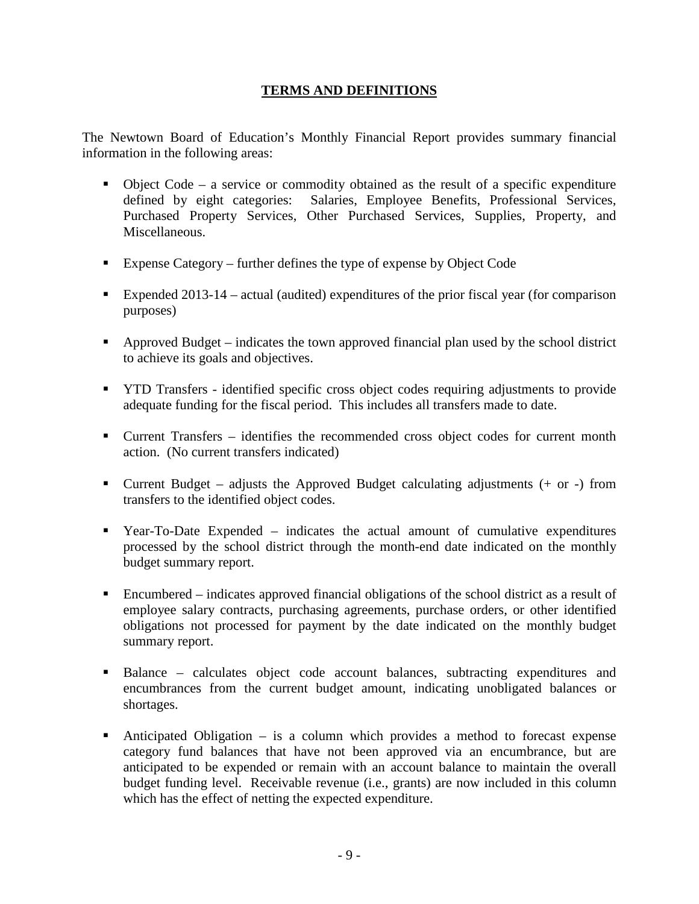# **TERMS AND DEFINITIONS**

The Newtown Board of Education's Monthly Financial Report provides summary financial information in the following areas:

- Object Code a service or commodity obtained as the result of a specific expenditure defined by eight categories: Salaries, Employee Benefits, Professional Services, Purchased Property Services, Other Purchased Services, Supplies, Property, and Miscellaneous.
- Expense Category further defines the type of expense by Object Code
- Expended 2013-14 actual (audited) expenditures of the prior fiscal year (for comparison purposes)
- Approved Budget indicates the town approved financial plan used by the school district to achieve its goals and objectives.
- **THE TRANSFER** identified specific cross object codes requiring adjustments to provide adequate funding for the fiscal period. This includes all transfers made to date.
- Current Transfers identifies the recommended cross object codes for current month action. (No current transfers indicated)
- **Current Budget** adjusts the Approved Budget calculating adjustments  $(+)$  or  $-)$  from transfers to the identified object codes.
- Year-To-Date Expended indicates the actual amount of cumulative expenditures processed by the school district through the month-end date indicated on the monthly budget summary report.
- Encumbered indicates approved financial obligations of the school district as a result of employee salary contracts, purchasing agreements, purchase orders, or other identified obligations not processed for payment by the date indicated on the monthly budget summary report.
- Balance calculates object code account balances, subtracting expenditures and encumbrances from the current budget amount, indicating unobligated balances or shortages.
- Anticipated Obligation is a column which provides a method to forecast expense category fund balances that have not been approved via an encumbrance, but are anticipated to be expended or remain with an account balance to maintain the overall budget funding level. Receivable revenue (i.e., grants) are now included in this column which has the effect of netting the expected expenditure.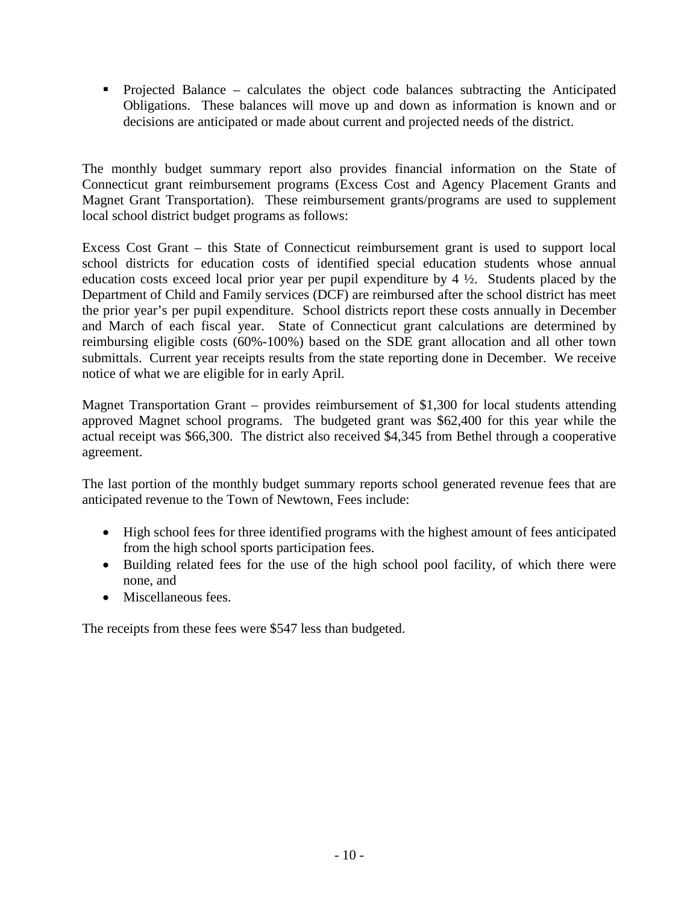Projected Balance – calculates the object code balances subtracting the Anticipated Obligations. These balances will move up and down as information is known and or decisions are anticipated or made about current and projected needs of the district.

The monthly budget summary report also provides financial information on the State of Connecticut grant reimbursement programs (Excess Cost and Agency Placement Grants and Magnet Grant Transportation). These reimbursement grants/programs are used to supplement local school district budget programs as follows:

Excess Cost Grant – this State of Connecticut reimbursement grant is used to support local school districts for education costs of identified special education students whose annual education costs exceed local prior year per pupil expenditure by 4 ½. Students placed by the Department of Child and Family services (DCF) are reimbursed after the school district has meet the prior year's per pupil expenditure. School districts report these costs annually in December and March of each fiscal year. State of Connecticut grant calculations are determined by reimbursing eligible costs (60%-100%) based on the SDE grant allocation and all other town submittals. Current year receipts results from the state reporting done in December. We receive notice of what we are eligible for in early April.

Magnet Transportation Grant – provides reimbursement of \$1,300 for local students attending approved Magnet school programs. The budgeted grant was \$62,400 for this year while the actual receipt was \$66,300. The district also received \$4,345 from Bethel through a cooperative agreement.

The last portion of the monthly budget summary reports school generated revenue fees that are anticipated revenue to the Town of Newtown, Fees include:

- High school fees for three identified programs with the highest amount of fees anticipated from the high school sports participation fees.
- Building related fees for the use of the high school pool facility, of which there were none, and
- Miscellaneous fees.

The receipts from these fees were \$547 less than budgeted.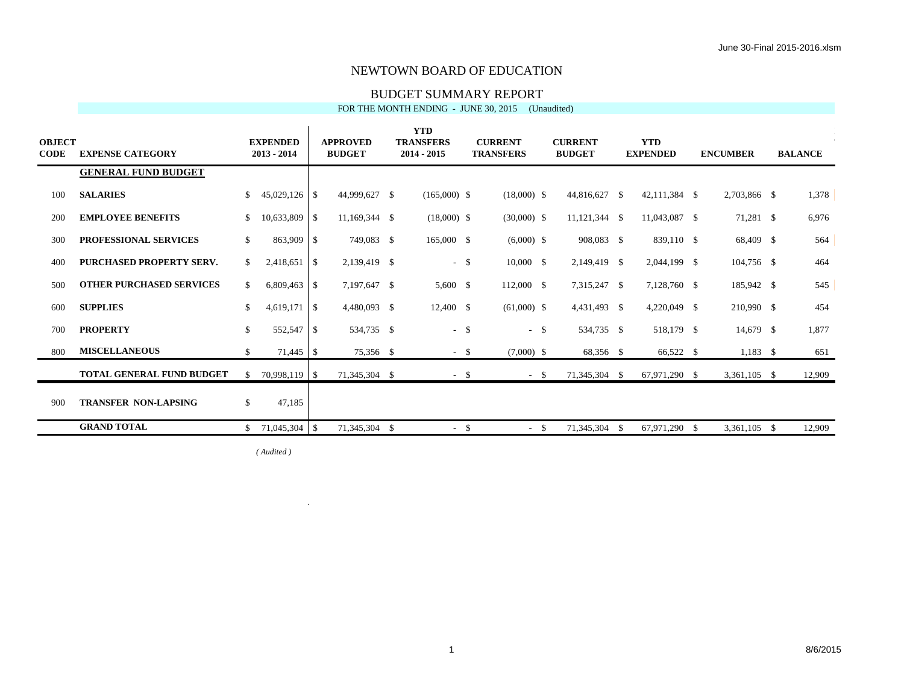#### BUDGET SUMMARY REPORT FOR THE MONTH ENDING - JUNE 30, 2015 (Unaudited)

| <b>OBJECT</b><br><b>CODE</b> | <b>EXPENSE CATEGORY</b>          |     | <b>EXPENDED</b><br>2013 - 2014 |               | <b>APPROVED</b><br><b>BUDGET</b> | <b>YTD</b><br><b>TRANSFERS</b><br>2014 - 2015 |        | <b>CURRENT</b><br><b>TRANSFERS</b> | <b>CURRENT</b><br><b>BUDGET</b> | <b>YTD</b><br><b>EXPENDED</b> | <b>ENCUMBER</b> |      | <b>BALANCE</b> |
|------------------------------|----------------------------------|-----|--------------------------------|---------------|----------------------------------|-----------------------------------------------|--------|------------------------------------|---------------------------------|-------------------------------|-----------------|------|----------------|
|                              | <b>GENERAL FUND BUDGET</b>       |     |                                |               |                                  |                                               |        |                                    |                                 |                               |                 |      |                |
| 100                          | <b>SALARIES</b>                  | \$  | 45,029,126                     | <sup>\$</sup> | 44,999,627 \$                    | $(165,000)$ \$                                |        | $(18,000)$ \$                      | 44,816,627 \$                   | 42,111,384 \$                 | 2,703,866 \$    |      | 1,378          |
| 200                          | <b>EMPLOYEE BENEFITS</b>         | \$  | 10,633,809                     | \$            | 11,169,344 \$                    | $(18,000)$ \$                                 |        | $(30,000)$ \$                      | 11,121,344 \$                   | 11,043,087 \$                 | 71,281 \$       |      | 6,976          |
| 300                          | PROFESSIONAL SERVICES            | \$  | $863,909$ \$                   |               | 749,083 \$                       | 165,000 \$                                    |        | $(6,000)$ \$                       | 908,083 \$                      | 839,110 \$                    | 68,409 \$       |      | 564            |
| 400                          | <b>PURCHASED PROPERTY SERV.</b>  | \$  | 2,418,651                      | \$            | 2,139,419 \$                     |                                               | $-$ \$ | $10,000$ \$                        | 2,149,419 \$                    | 2,044,199 \$                  | 104,756 \$      |      | 464            |
| 500                          | <b>OTHER PURCHASED SERVICES</b>  | \$  | 6,809,463                      | \$            | 7,197,647 \$                     | $5,600$ \$                                    |        | $112,000$ \$                       | 7,315,247 \$                    | 7,128,760 \$                  | 185,942 \$      |      | 545            |
| 600                          | <b>SUPPLIES</b>                  | \$  | 4,619,171                      | \$            | 4,480,093 \$                     | 12,400 \$                                     |        | $(61,000)$ \$                      | 4,431,493 \$                    | 4,220,049 \$                  | 210,990 \$      |      | 454            |
| 700                          | <b>PROPERTY</b>                  | \$  | 552,547                        | - \$          | 534,735 \$                       |                                               | $-$ \$ | $-5$                               | 534,735 \$                      | 518,179 \$                    | 14,679 \$       |      | 1,877          |
| 800                          | <b>MISCELLANEOUS</b>             | \$. |                                |               | 75,356 \$                        |                                               | $-$ \$ | $(7,000)$ \$                       | 68,356 \$                       | 66,522 \$                     | $1,183$ \$      |      | 651            |
|                              | <b>TOTAL GENERAL FUND BUDGET</b> | \$  | 70,998,119 \$                  |               | 71,345,304 \$                    |                                               | $-$ \$ | $-$ \$                             | 71,345,304 \$                   | 67,971,290 \$                 | $3,361,105$ \$  |      | 12,909         |
| 900                          | <b>TRANSFER NON-LAPSING</b>      | \$  | 47,185                         |               |                                  |                                               |        |                                    |                                 |                               |                 |      |                |
|                              | <b>GRAND TOTAL</b>               | S   |                                |               | 71,345,304 \$                    | $-$ \$                                        |        | $-5$                               | 71,345,304 \$                   | 67,971,290 \$                 | 3,361,105       | - \$ | 12,909         |

*( Audited )*

 $\mathbf{r}$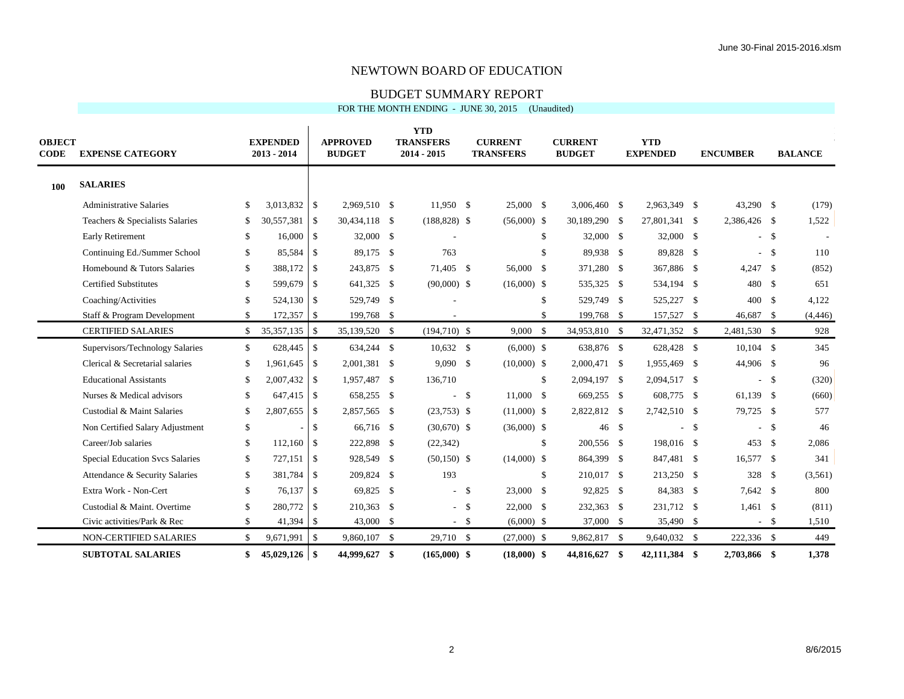BUDGET SUMMARY REPORT FOR THE MONTH ENDING - JUNE 30, 2015 (Unaudited)

| <b>OBJECT</b><br><b>CODE</b> | <b>EXPENSE CATEGORY</b>                |    | <b>EXPENDED</b><br>$2013 - 2014$ |               | <b>APPROVED</b><br><b>BUDGET</b> | <b>YTD</b><br><b>TRANSFERS</b><br>$2014 - 2015$ |        | <b>CURRENT</b><br><b>TRANSFERS</b> | <b>CURRENT</b><br><b>BUDGET</b> |      | <b>YTD</b><br><b>EXPENDED</b> |      | <b>ENCUMBER</b> |        | <b>BALANCE</b> |
|------------------------------|----------------------------------------|----|----------------------------------|---------------|----------------------------------|-------------------------------------------------|--------|------------------------------------|---------------------------------|------|-------------------------------|------|-----------------|--------|----------------|
| 100                          | <b>SALARIES</b>                        |    |                                  |               |                                  |                                                 |        |                                    |                                 |      |                               |      |                 |        |                |
|                              | <b>Administrative Salaries</b>         | \$ | 3,013,832                        | \$            | 2,969,510 \$                     | 11,950 \$                                       |        | 25,000 \$                          | 3,006,460 \$                    |      | 2,963,349 \$                  |      | 43,290 \$       |        | (179)          |
|                              | Teachers & Specialists Salaries        | \$ | 30,557,381                       | -\$           | 30,434,118 \$                    | $(188, 828)$ \$                                 |        | $(56,000)$ \$                      | 30,189,290 \$                   |      | 27,801,341 \$                 |      | 2,386,426 \$    |        | 1,522          |
|                              | <b>Early Retirement</b>                | \$ | 16,000                           | \$            | 32,000 \$                        |                                                 |        |                                    | \$<br>32,000 \$                 |      | 32,000 \$                     |      |                 | $-$ \$ |                |
|                              | Continuing Ed./Summer School           | \$ | 85,584                           | $\mathsf{S}$  | 89,175 \$                        | 763                                             |        |                                    | \$<br>89,938 \$                 |      | 89,828 \$                     |      | $-5$            |        | 110            |
|                              | Homebound & Tutors Salaries            | \$ | 388,172                          | \$            | 243,875 \$                       | 71,405 \$                                       |        | 56,000 \$                          | 371,280 \$                      |      | 367,886 \$                    |      | $4,247$ \$      |        | (852)          |
|                              | <b>Certified Substitutes</b>           | \$ | 599,679                          | S             | 641,325 \$                       | $(90,000)$ \$                                   |        | $(16,000)$ \$                      | 535,325 \$                      |      | 534,194 \$                    |      | 480 \$          |        | 651            |
|                              | Coaching/Activities                    | \$ | 524,130                          | <b>S</b>      | 529,749 \$                       |                                                 |        |                                    | \$<br>529,749 \$                |      | 525,227 \$                    |      | 400S            |        | 4,122          |
|                              | Staff & Program Development            | \$ | 172,357                          | l \$          | 199,768 \$                       |                                                 |        |                                    | \$<br>199,768 \$                |      | 157,527 \$                    |      | 46,687 \$       |        | (4, 446)       |
|                              | <b>CERTIFIED SALARIES</b>              | \$ | 35, 357, 135                     | \$            | 35,139,520 \$                    | $(194,710)$ \$                                  |        | $9,000$ \$                         | 34,953,810 \$                   |      | 32,471,352 \$                 |      | 2,481,530 \$    |        | 928            |
|                              | Supervisors/Technology Salaries        | \$ | 628.445                          | \$            | 634,244 \$                       | $10,632$ \$                                     |        | $(6,000)$ \$                       | 638,876 \$                      |      | 628,428 \$                    |      | $10,104$ \$     |        | 345            |
|                              | Clerical & Secretarial salaries        | \$ | 1,961,645                        | $\sqrt{S}$    | 2,001,381 \$                     | $9,090$ \$                                      |        | $(10,000)$ \$                      | 2,000,471 \$                    |      | 1,955,469 \$                  |      | 44,906 \$       |        | 96             |
|                              | <b>Educational Assistants</b>          | S. | 2,007,432                        | \$            | 1,957,487 \$                     | 136,710                                         |        |                                    | \$<br>2,094,197 \$              |      | 2,094,517 \$                  |      |                 | $-$ \$ | (320)          |
|                              | Nurses & Medical advisors              | \$ | 647,415                          | $\sqrt{S}$    | 658,255 \$                       |                                                 | $-$ \$ | 11,000 \$                          | 669,255 \$                      |      | 608,775 \$                    |      | 61,139 \$       |        | (660)          |
|                              | Custodial & Maint Salaries             | \$ | 2,807,655                        | $\mathsf{S}$  | 2,857,565 \$                     | $(23,753)$ \$                                   |        | $(11,000)$ \$                      | 2,822,812 \$                    |      | 2,742,510 \$                  |      | 79,725 \$       |        | 577            |
|                              | Non Certified Salary Adjustment        | \$ |                                  | $\mathbf{\$}$ | 66,716 \$                        | $(30,670)$ \$                                   |        | $(36,000)$ \$                      | $46 \quad$                      |      |                               | - \$ |                 | $-$ \$ | 46             |
|                              | Career/Job salaries                    | \$ | 112,160                          | l \$          | 222,898 \$                       | (22, 342)                                       |        |                                    | \$<br>200,556 \$                |      | 198,016 \$                    |      | 453S            |        | 2,086          |
|                              | <b>Special Education Svcs Salaries</b> | \$ |                                  |               | 928,549 \$                       | $(50, 150)$ \$                                  |        | $(14,000)$ \$                      | 864,399 \$                      |      | 847,481 \$                    |      | 16,577 \$       |        | 341            |
|                              | Attendance & Security Salaries         | \$ | 381,784                          | S             | 209,824 \$                       | 193                                             |        |                                    | \$<br>210,017 \$                |      | 213,250 \$                    |      | 328 \$          |        | (3,561)        |
|                              | Extra Work - Non-Cert                  | \$ | 76,137                           | <b>S</b>      | 69,825 \$                        |                                                 | $-$ \$ | 23,000 \$                          | 92,825 \$                       |      | 84,383 \$                     |      | $7,642$ \$      |        | 800            |
|                              | Custodial & Maint. Overtime            | \$ | 280,772 \$                       |               | 210,363 \$                       |                                                 | $-5$   | 22,000 \$                          | 232,363 \$                      |      | 231,712 \$                    |      | $1,461$ \$      |        | (811)          |
|                              | Civic activities/Park & Rec            | \$ |                                  |               | 43,000 \$                        |                                                 | $-$ \$ | $(6,000)$ \$                       | 37,000 \$                       |      | 35,490 \$                     |      | $-$ \$          |        | 1,510          |
|                              | NON-CERTIFIED SALARIES                 | \$ | 9,671,991                        | \$            | 9,860,107 \$                     | 29,710 \$                                       |        | $(27,000)$ \$                      | 9,862,817 \$                    |      | 9,640,032 \$                  |      | 222,336 \$      |        | 449            |
|                              | <b>SUBTOTAL SALARIES</b>               | \$ | 45,029,126                       | - \$          | 44,999,627 \$                    | $(165,000)$ \$                                  |        | $(18,000)$ \$                      | 44,816,627                      | - \$ | 42,111,384                    | - \$ | 2.703.866 \$    |        | 1,378          |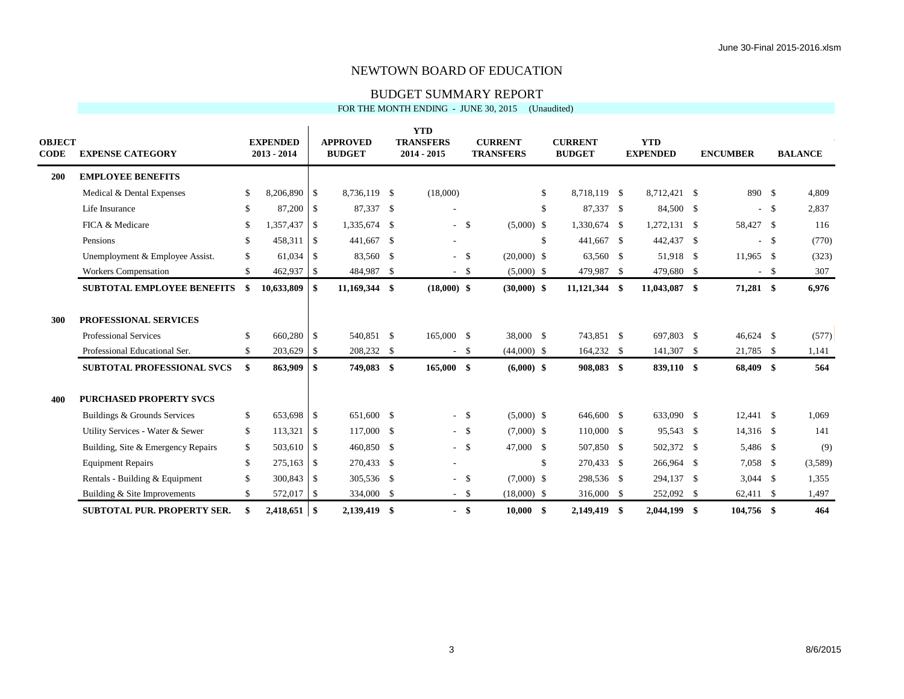#### BUDGET SUMMARY REPORT FOR THE MONTH ENDING - JUNE 30, 2015 (Unaudited)

| <b>OBJECT</b><br><b>CODE</b> | <b>EXPENSE CATEGORY</b>                                                                |          | <b>EXPENDED</b><br>$2013 - 2014$ |              | <b>APPROVED</b><br><b>BUDGET</b> |     | <b>YTD</b><br><b>TRANSFERS</b><br>$2014 - 2015$ | <b>CURRENT</b><br><b>TRANSFERS</b> | <b>CURRENT</b><br><b>BUDGET</b> | <b>YTD</b><br><b>EXPENDED</b> | <b>ENCUMBER</b>        |        | <b>BALANCE</b> |
|------------------------------|----------------------------------------------------------------------------------------|----------|----------------------------------|--------------|----------------------------------|-----|-------------------------------------------------|------------------------------------|---------------------------------|-------------------------------|------------------------|--------|----------------|
| 200                          | <b>EMPLOYEE BENEFITS</b>                                                               |          |                                  |              |                                  |     |                                                 |                                    |                                 |                               |                        |        |                |
|                              | Medical & Dental Expenses                                                              | \$       | 8,206,890                        | $\vert$ \$   | 8,736,119 \$                     |     | (18,000)                                        |                                    | \$<br>8,718,119 \$              | 8,712,421 \$                  | 890 \$                 |        | 4,809          |
|                              | Life Insurance                                                                         | \$       | 87,200                           | \$           | 87,337 \$                        |     |                                                 |                                    | \$<br>87,337 \$                 | 84,500 \$                     |                        | $-$ \$ | 2,837          |
|                              | FICA & Medicare                                                                        | \$       | 1,357,437                        | \$           | 1,335,674 \$                     |     | $-$ \$                                          | $(5,000)$ \$                       | 1,330,674 \$                    | 1,272,131 \$                  | 58,427 \$              |        | 116            |
|                              | Pensions                                                                               | \$       | 458,311                          | \$           | 441,667                          | -\$ | $\sim$                                          |                                    | \$<br>441,667 \$                | 442,437 \$                    |                        | $-$ \$ | (770)          |
|                              | Unemployment & Employee Assist.                                                        | \$       | 61,034                           | - \$         | 83,560 \$                        |     | $-$ \$                                          | $(20,000)$ \$                      | 63.560 \$                       | 51,918 \$                     | 11,965 \$              |        | (323)          |
|                              | Workers Compensation                                                                   | \$       | 462,937                          | \$           | 484,987 \$                       |     | $-$ \$                                          | $(5,000)$ \$                       | 479,987 \$                      | 479,680 \$                    | $-$ \$                 |        | 307            |
|                              | <b>SUBTOTAL EMPLOYEE BENEFITS</b>                                                      | \$       | 10,633,809                       | \$           | 11,169,344 \$                    |     | $(18,000)$ \$                                   | $(30,000)$ \$                      | 11,121,344 \$                   | 11,043,087 \$                 | 71,281 \$              |        | 6,976          |
| 300                          | PROFESSIONAL SERVICES<br><b>Professional Services</b><br>Professional Educational Ser. | \$<br>\$ | 660,280 \$<br>203,629            | - \$         | 540.851 \$<br>208,232 \$         |     | 165,000 \$<br>$-$ \$                            | 38,000 \$<br>$(44,000)$ \$         | 743.851 \$<br>164,232 \$        | 697,803 \$<br>141,307 \$      | 46,624 \$<br>21,785 \$ |        | (577)<br>1,141 |
|                              | <b>SUBTOTAL PROFESSIONAL SVCS</b>                                                      | \$       | 863,909                          | $\mathbf{s}$ | 749,083 \$                       |     | $165,000$ \$                                    | $(6,000)$ \$                       | 908,083 \$                      | 839,110 \$                    | 68,409 \$              |        | 564            |
| 400                          | <b>PURCHASED PROPERTY SVCS</b>                                                         |          |                                  |              |                                  |     |                                                 |                                    |                                 |                               |                        |        |                |
|                              | Buildings & Grounds Services                                                           | \$       | 653,698 \$                       |              | 651,600 \$                       |     | $-$ \$                                          | $(5,000)$ \$                       | 646,600 \$                      | 633,090 \$                    | $12,441$ \$            |        | 1,069          |
|                              | Utility Services - Water & Sewer                                                       | \$       | 113,321                          | $\mathbb{S}$ | 117,000 \$                       |     | $-$ \$                                          | $(7,000)$ \$                       | 110,000 \$                      | 95,543 \$                     | 14,316 \$              |        | 141            |
|                              | Building, Site & Emergency Repairs                                                     | \$       | 503,610                          | \$           | 460,850 \$                       |     | $-$ \$                                          | 47,000 \$                          | 507,850 \$                      | 502,372 \$                    | 5,486 \$               |        | (9)            |
|                              | <b>Equipment Repairs</b>                                                               | \$       | 275,163                          | \$           | 270,433 \$                       |     |                                                 |                                    | \$<br>270,433 \$                | 266,964 \$                    | 7,058 \$               |        | (3,589)        |
|                              | Rentals - Building & Equipment                                                         | \$       | 300,843 \$                       |              | 305,536 \$                       |     | $-$ \$                                          | $(7,000)$ \$                       | 298,536 \$                      | 294,137 \$                    | $3,044$ \$             |        | 1,355          |
|                              | Building & Site Improvements                                                           | \$       | $572,017$ \\$                    |              | 334,000 \$                       |     | $-$ \$                                          | $(18,000)$ \$                      | 316,000 \$                      | 252,092 \$                    | 62,411 \$              |        | 1,497          |
|                              | <b>SUBTOTAL PUR. PROPERTY SER.</b>                                                     | \$       | $2,418,651$ \$                   |              | 2,139,419 \$                     |     | $-$ \$                                          | $10,000$ \$                        | 2,149,419 \$                    | 2,044,199 \$                  | 104,756 \$             |        | 464            |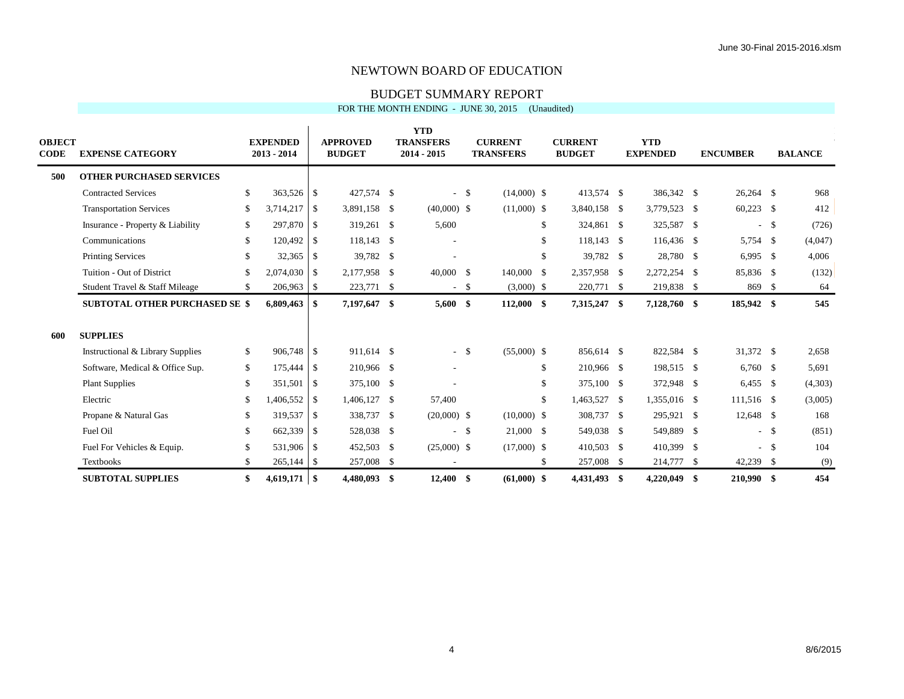#### BUDGET SUMMARY REPORT FOR THE MONTH ENDING - JUNE 30, 2015 (Unaudited)

| <b>OBJECT</b><br><b>CODE</b> | <b>EXPENSE CATEGORY</b>               | <b>EXPENDED</b><br>$2013 - 2014$ |                    | <b>APPROVED</b><br><b>BUDGET</b> | <b>YTD</b><br><b>TRANSFERS</b><br>$2014 - 2015$ |        | <b>CURRENT</b><br><b>TRANSFERS</b> | <b>CURRENT</b><br><b>BUDGET</b> | <b>YTD</b><br><b>EXPENDED</b> | <b>ENCUMBER</b> |        | <b>BALANCE</b> |
|------------------------------|---------------------------------------|----------------------------------|--------------------|----------------------------------|-------------------------------------------------|--------|------------------------------------|---------------------------------|-------------------------------|-----------------|--------|----------------|
| 500                          | <b>OTHER PURCHASED SERVICES</b>       |                                  |                    |                                  |                                                 |        |                                    |                                 |                               |                 |        |                |
|                              | <b>Contracted Services</b>            | \$<br>$363,526$ \$               |                    | 427,574 \$                       |                                                 | $-$ \$ | $(14,000)$ \$                      | 413,574 \$                      | 386,342 \$                    | $26,264$ \$     |        | 968            |
|                              | <b>Transportation Services</b>        | \$<br>3,714,217                  | \$                 | 3,891,158 \$                     | $(40,000)$ \$                                   |        | $(11,000)$ \$                      | 3,840,158 \$                    | 3,779,523 \$                  | $60,223$ \$     |        | 412            |
|                              | Insurance - Property & Liability      | \$<br>297,870                    | $\mathbf{\hat{S}}$ | $319,261$ \$                     | 5,600                                           |        |                                    | \$<br>324,861 \$                | 325,587 \$                    |                 | $-$ \$ | (726)          |
|                              | Communications                        | \$<br>120,492                    | \$                 | 118,143 \$                       |                                                 |        |                                    | \$<br>118,143 \$                | 116,436 \$                    | 5,754 \$        |        | (4,047)        |
|                              | <b>Printing Services</b>              | \$<br>32,365                     | \$                 | 39,782 \$                        |                                                 |        |                                    | \$<br>39,782 \$                 | 28,780 \$                     | $6,995$ \$      |        | 4,006          |
|                              | Tuition - Out of District             | \$<br>2,074,030                  | - \$               | 2,177,958 \$                     | 40,000 \$                                       |        | 140,000 \$                         | 2,357,958 \$                    | 2,272,254 \$                  | 85,836 \$       |        | (132)          |
|                              | Student Travel & Staff Mileage        | \$<br>$206,963$ \$               |                    | 223,771 \$                       |                                                 | $-$ \$ | $(3,000)$ \$                       | 220,771 \$                      | 219,838 \$                    | 869 \$          |        | 64             |
|                              | <b>SUBTOTAL OTHER PURCHASED SE \$</b> | 6,809,463                        | $\mathbf{s}$       | 7,197,647 \$                     | 5,600S                                          |        | $112,000$ \$                       | 7,315,247 \$                    | 7,128,760 \$                  | 185,942 \$      |        | 545            |
| 600                          | <b>SUPPLIES</b>                       |                                  |                    |                                  |                                                 |        |                                    |                                 |                               |                 |        |                |
|                              | Instructional & Library Supplies      | \$<br>906,748                    | - \$               | 911,614 \$                       |                                                 | $-$ \$ | $(55,000)$ \$                      | 856,614 \$                      | 822,584 \$                    | 31,372 \$       |        | 2,658          |
|                              | Software, Medical & Office Sup.       | \$<br>175,444                    | - \$               | 210,966 \$                       |                                                 |        |                                    | \$<br>210,966 \$                | 198,515 \$                    | $6,760$ \$      |        | 5,691          |
|                              | <b>Plant Supplies</b>                 | \$<br>351,501                    | \$                 | 375,100 \$                       |                                                 |        |                                    | \$<br>375,100 \$                | 372,948 \$                    | $6,455$ \$      |        | (4,303)        |
|                              | Electric                              | \$<br>1,406,552                  | <sup>S</sup>       | 1,406,127 \$                     | 57,400                                          |        |                                    | \$<br>1,463,527 \$              | 1,355,016 \$                  | 111,516 \$      |        | (3,005)        |
|                              | Propane & Natural Gas                 | \$<br>319,537                    | <sup>S</sup>       | 338,737 \$                       | $(20,000)$ \$                                   |        | $(10,000)$ \$                      | 308,737 \$                      | 295,921 \$                    | 12,648 \$       |        | 168            |
|                              | Fuel Oil                              | \$<br>662,339                    | \$                 | 528,038 \$                       |                                                 | $-$ \$ | 21,000 \$                          | 549,038 \$                      | 549,889 \$                    |                 | $-$ \$ | (851)          |
|                              | Fuel For Vehicles & Equip.            | \$<br>531,906 \$                 |                    | 452,503 \$                       | $(25,000)$ \$                                   |        | $(17,000)$ \$                      | 410,503 \$                      | 410,399 \$                    |                 | $-$ \$ | 104            |
|                              | Textbooks                             | \$                               |                    | 257,008 \$                       |                                                 |        |                                    | \$<br>257,008 \$                | 214,777 \$                    | $42,239$ \$     |        | (9)            |
|                              | <b>SUBTOTAL SUPPLIES</b>              | \$<br>$4,619,171$ \\$            |                    | 4,480,093 \$                     | $12,400$ \$                                     |        | $(61,000)$ \$                      | 4,431,493 \$                    | 4,220,049 \$                  | 210,990 \$      |        | 454            |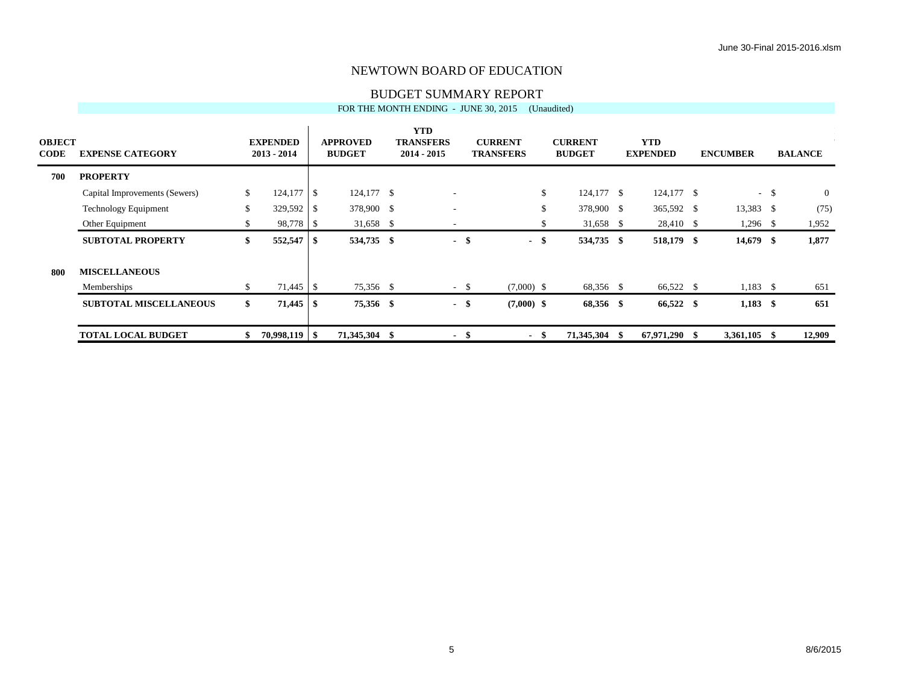|                              |                               |    |                                  |     |                                  |      |                                                 |        | ророшт ромминат ны онт             |      |                                 |                               |                 |        |                |
|------------------------------|-------------------------------|----|----------------------------------|-----|----------------------------------|------|-------------------------------------------------|--------|------------------------------------|------|---------------------------------|-------------------------------|-----------------|--------|----------------|
|                              |                               |    |                                  |     |                                  |      | FOR THE MONTH ENDING - JUNE 30, 2015            |        |                                    |      | (Unaudited)                     |                               |                 |        |                |
| <b>OBJECT</b><br><b>CODE</b> | <b>EXPENSE CATEGORY</b>       |    | <b>EXPENDED</b><br>$2013 - 2014$ |     | <b>APPROVED</b><br><b>BUDGET</b> |      | <b>YTD</b><br><b>TRANSFERS</b><br>$2014 - 2015$ |        | <b>CURRENT</b><br><b>TRANSFERS</b> |      | <b>CURRENT</b><br><b>BUDGET</b> | <b>YTD</b><br><b>EXPENDED</b> | <b>ENCUMBER</b> |        | <b>BALANCE</b> |
| 700                          | <b>PROPERTY</b>               |    |                                  |     |                                  |      |                                                 |        |                                    |      |                                 |                               |                 |        |                |
|                              | Capital Improvements (Sewers) | \$ | $124,177$ \$                     |     | $124,177$ \$                     |      |                                                 |        |                                    | \$   | 124,177 \$                      | 124,177 \$                    |                 | $-$ \$ | $\overline{0}$ |
|                              | Technology Equipment          | \$ | 329,592                          | -\$ | 378,900 \$                       |      | $\overline{\phantom{a}}$                        |        |                                    | \$   | 378,900 \$                      | 365,592 \$                    | 13,383 \$       |        | (75)           |
|                              | Other Equipment               | S. | 98,778                           | -8  | 31,658 \$                        |      |                                                 |        |                                    | \$   | $31,658$ \$                     | 28,410 \$                     | $1,296$ \$      |        | 1,952          |
|                              | <b>SUBTOTAL PROPERTY</b>      | \$ | 552,547 \$                       |     | 534,735 \$                       |      | $\blacksquare$                                  | \$     | $\sim$                             | - \$ | 534,735 \$                      | 518,179 \$                    | 14,679 \$       |        | 1,877          |
| 800                          | <b>MISCELLANEOUS</b>          |    |                                  |     |                                  |      |                                                 |        |                                    |      |                                 |                               |                 |        |                |
|                              | Memberships                   |    |                                  |     | 75,356 \$                        |      |                                                 | $-$ \$ | $(7,000)$ \$                       |      | 68,356 \$                       | 66,522 \$                     | $1,183$ \$      |        | 651            |
|                              | <b>SUBTOTAL MISCELLANEOUS</b> | \$ |                                  |     | 75,356 \$                        |      | $\sim$                                          | \$     | $(7,000)$ \$                       |      | 68,356 \$                       | $66,522$ \$                   | $1,183$ \$      |        | 651            |
|                              | <b>TOTAL LOCAL BUDGET</b>     | \$ | $70,998,119$   \$                |     | 71,345,304                       | - \$ | $\blacksquare$                                  | \$     | $\blacksquare$                     | - \$ | 71,345,304 \$                   | 67,971,290 \$                 | 3,361,105 \$    |        | 12,909         |

# BUDGET SUMMARY REPORT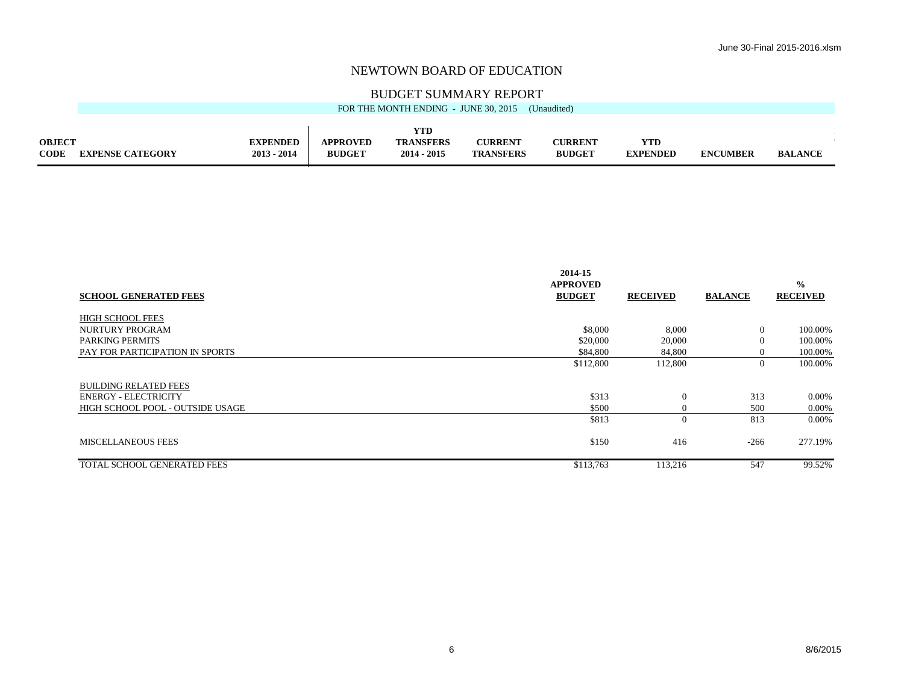## BUDGET SUMMARY REPORT

|               |                         |                 |                 | FOR THE MONTH ENDING - JUNE 30, 2015 |                  | (Unaudited)    |                 |                 |                |
|---------------|-------------------------|-----------------|-----------------|--------------------------------------|------------------|----------------|-----------------|-----------------|----------------|
|               |                         |                 |                 | YTD                                  |                  |                |                 |                 |                |
| <b>OBJECT</b> |                         | <b>EXPENDED</b> | <b>APPROVED</b> | <b>TRANSFERS</b>                     | <b>CURRENT</b>   | <b>CURRENT</b> | YTD             |                 |                |
| <b>CODE</b>   | <b>EXPENSE CATEGORY</b> | $2013 - 2014$   | <b>BUDGET</b>   | 2014 - 2015                          | <b>TRANSFERS</b> | <b>BUDGET</b>  | <b>EXPENDED</b> | <b>ENCUMBER</b> | <b>BALANCE</b> |

|                                  | 2014-15<br><b>APPROVED</b> |                 |                | $\frac{0}{0}$   |
|----------------------------------|----------------------------|-----------------|----------------|-----------------|
| <b>SCHOOL GENERATED FEES</b>     | <b>BUDGET</b>              | <b>RECEIVED</b> | <b>BALANCE</b> | <b>RECEIVED</b> |
| <b>HIGH SCHOOL FEES</b>          |                            |                 |                |                 |
| NURTURY PROGRAM                  | \$8,000                    | 8,000           | $\overline{0}$ | 100.00%         |
| PARKING PERMITS                  | \$20,000                   | 20,000          | $\Omega$       | 100.00%         |
| PAY FOR PARTICIPATION IN SPORTS  | \$84,800                   | 84,800          | $\theta$       | 100.00%         |
|                                  | \$112,800                  | 112,800         | $\overline{0}$ | 100.00%         |
| <b>BUILDING RELATED FEES</b>     |                            |                 |                |                 |
| <b>ENERGY - ELECTRICITY</b>      | \$313                      | $\overline{0}$  | 313            | 0.00%           |
| HIGH SCHOOL POOL - OUTSIDE USAGE | \$500                      | 0               | 500            | 0.00%           |
|                                  | \$813                      | $\Omega$        | 813            | 0.00%           |
| <b>MISCELLANEOUS FEES</b>        | \$150                      | 416             | $-266$         | 277.19%         |
| TOTAL SCHOOL GENERATED FEES      | \$113,763                  | 113,216         | 547            | 99.52%          |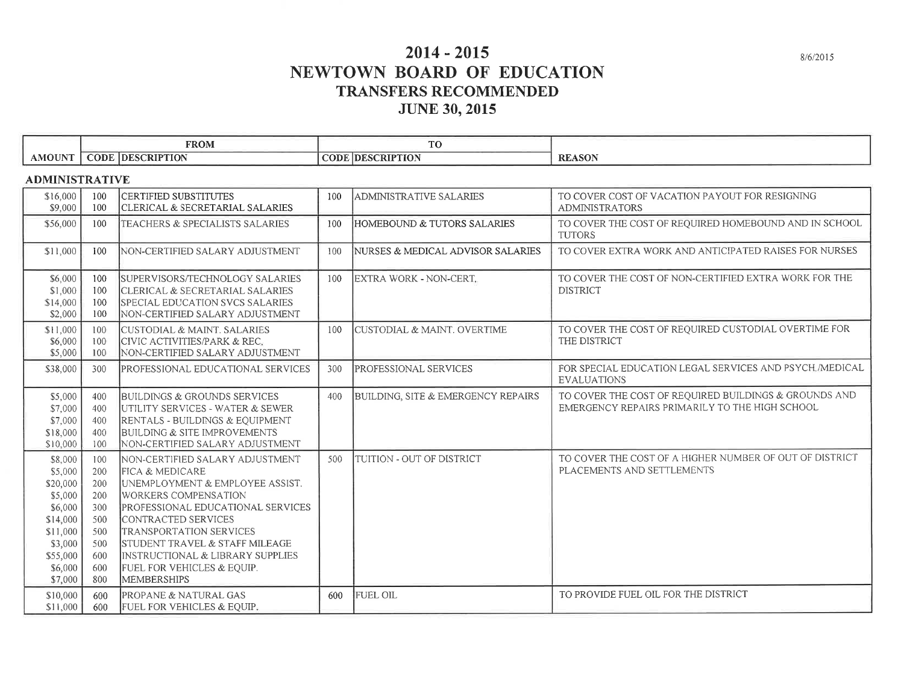# $2014 - 2015$ NEWTOWN BOARD OF EDUCATION **TRANSFERS RECOMMENDED JUNE 30, 2015**

|                                                                                                                           |                                                                           | <b>FROM</b>                                                                                                                                                                                                                                                                                                                                                |     | <b>TO</b>                          |                                                                                                         |
|---------------------------------------------------------------------------------------------------------------------------|---------------------------------------------------------------------------|------------------------------------------------------------------------------------------------------------------------------------------------------------------------------------------------------------------------------------------------------------------------------------------------------------------------------------------------------------|-----|------------------------------------|---------------------------------------------------------------------------------------------------------|
| <b>AMOUNT</b>                                                                                                             |                                                                           | <b>CODE DESCRIPTION</b>                                                                                                                                                                                                                                                                                                                                    |     | <b>CODE DESCRIPTION</b>            | <b>REASON</b>                                                                                           |
| <b>ADMINISTRATIVE</b>                                                                                                     |                                                                           |                                                                                                                                                                                                                                                                                                                                                            |     |                                    |                                                                                                         |
| \$16,000<br>\$9,000                                                                                                       | 100<br>100                                                                | <b>CERTIFIED SUBSTITUTES</b><br><b>CLERICAL &amp; SECRETARIAL SALARIES</b>                                                                                                                                                                                                                                                                                 | 100 | <b>ADMINISTRATIVE SALARIES</b>     | TO COVER COST OF VACATION PAYOUT FOR RESIGNING<br><b>ADMINISTRATORS</b>                                 |
| \$56,000                                                                                                                  | 100                                                                       | TEACHERS & SPECIALISTS SALARIES                                                                                                                                                                                                                                                                                                                            | 100 | HOMEBOUND & TUTORS SALARIES        | TO COVER THE COST OF REQUIRED HOMEBOUND AND IN SCHOOL<br><b>TUTORS</b>                                  |
| \$11,000                                                                                                                  | 100                                                                       | NON-CERTIFIED SALARY ADJUSTMENT                                                                                                                                                                                                                                                                                                                            | 100 | INURSES & MEDICAL ADVISOR SALARIES | TO COVER EXTRA WORK AND ANTICIPATED RAISES FOR NURSES                                                   |
| \$6,000<br>\$1,000<br>\$14,000<br>\$2,000                                                                                 | 100<br>100<br>100<br>100                                                  | SUPERVISORS/TECHNOLOGY SALARIES<br>CLERICAL & SECRETARIAL SALARIES<br>SPECIAL EDUCATION SVCS SALARIES<br>NON-CERTIFIED SALARY ADJUSTMENT                                                                                                                                                                                                                   | 100 | EXTRA WORK - NON-CERT.             | TO COVER THE COST OF NON-CERTIFIED EXTRA WORK FOR THE<br><b>DISTRICT</b>                                |
| \$11,000<br>\$6,000<br>\$5,000                                                                                            | 100<br>100<br>100                                                         | <b>CUSTODIAL &amp; MAINT. SALARIES</b><br> civic activities/park & rec.<br>NON-CERTIFIED SALARY ADJUSTMENT                                                                                                                                                                                                                                                 | 100 | ICUSTODIAL & MAINT. OVERTIME       | TO COVER THE COST OF REQUIRED CUSTODIAL OVERTIME FOR<br>THE DISTRICT                                    |
| \$38,000                                                                                                                  | 300                                                                       | PROFESSIONAL EDUCATIONAL SERVICES                                                                                                                                                                                                                                                                                                                          | 300 | PROFESSIONAL SERVICES              | FOR SPECIAL EDUCATION LEGAL SERVICES AND PSYCH, MEDICAL<br><b>EVALUATIONS</b>                           |
| \$5,000<br>\$7,000<br>\$7,000<br>\$18,000<br>\$10,000                                                                     | 400<br>400<br>400<br>400<br>100                                           | BUILDINGS & GROUNDS SERVICES<br>IUTILITY SERVICES - WATER & SEWER<br>RENTALS - BUILDINGS & EQUIPMENT<br>BUILDING & SITE IMPROVEMENTS<br>NON-CERTIFIED SALARY ADJUSTMENT                                                                                                                                                                                    | 400 | BUILDING, SITE & EMERGENCY REPAIRS | TO COVER THE COST OF REQUIRED BUILDINGS & GROUNDS AND<br>EMERGENCY REPAIRS PRIMARILY TO THE HIGH SCHOOL |
| \$8,000<br>\$5,000<br>\$20,000<br>\$5,000<br>\$6,000<br>\$14,000<br>\$11,000<br>\$3,000<br>\$55,000<br>\$6,000<br>\$7,000 | 100<br>200<br>200<br>200<br>300<br>500<br>500<br>500<br>600<br>600<br>800 | INON-CERTIFIED SALARY ADJUSTMENT<br>[fica & medicare<br>UNEMPLOYMENT & EMPLOYEE ASSIST.<br><b>IWORKERS COMPENSATION</b><br>PROFESSIONAL EDUCATIONAL SERVICES<br>CONTRACTED SERVICES<br><b>TRANSPORTATION SERVICES</b><br><b>STUDENT TRAVEL &amp; STAFF MILEAGE</b><br>INSTRUCTIONAL & LIBRARY SUPPLIES<br>FUEL FOR VEHICLES & EQUIP.<br><b>MEMBERSHIPS</b> | 500 | TUITION - OUT OF DISTRICT          | TO COVER THE COST OF A HIGHER NUMBER OF OUT OF DISTRICT<br>PLACEMENTS AND SETTLEMENTS                   |
| \$10,000<br>\$11,000                                                                                                      | 600<br>600                                                                | <b>PROPANE &amp; NATURAL GAS</b><br><b>FUEL FOR VEHICLES &amp; EQUIP.</b>                                                                                                                                                                                                                                                                                  | 600 | <b>FUEL OIL</b>                    | TO PROVIDE FUEL OIL FOR THE DISTRICT                                                                    |

 $8/6/2015$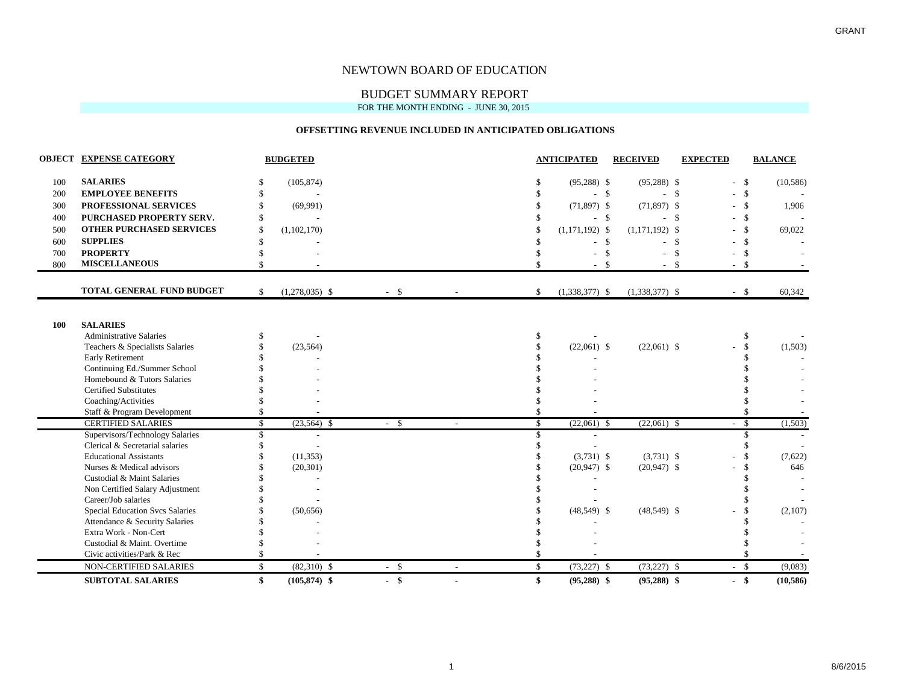#### BUDGET SUMMARY REPORT FOR THE MONTH ENDING - JUNE 30, 2015

#### **OFFSETTING REVENUE INCLUDED IN ANTICIPATED OBLIGATIONS**

|     | <b>OBJECT EXPENSE CATEGORY</b>  |               | <b>BUDGETED</b>  |        |                |              | <b>ANTICIPATED</b> | <b>RECEIVED</b>  | <b>EXPECTED</b>  | <b>BALANCE</b>                |
|-----|---------------------------------|---------------|------------------|--------|----------------|--------------|--------------------|------------------|------------------|-------------------------------|
| 100 | <b>SALARIES</b>                 |               | (105, 874)       |        |                |              | $(95,288)$ \$      | $(95,288)$ \$    |                  | $-$ \$<br>(10, 586)           |
| 200 | <b>EMPLOYEE BENEFITS</b>        |               | $\overline{a}$   |        |                |              | $-$ \$             |                  | $-$ \$<br>$\sim$ | $\mathcal{S}$                 |
| 300 | PROFESSIONAL SERVICES           |               | (69,991)         |        |                |              | $(71,897)$ \$      | $(71,897)$ \$    |                  | $\mathcal{S}$<br>1,906        |
| 400 | PURCHASED PROPERTY SERV.        |               |                  |        |                |              | $-$ \$             |                  | $-$ \$           | $\mathcal{S}$                 |
| 500 | <b>OTHER PURCHASED SERVICES</b> |               | (1,102,170)      |        |                |              | $(1,171,192)$ \$   | $(1,171,192)$ \$ |                  | 69,022<br><sup>\$</sup>       |
| 600 | <b>SUPPLIES</b>                 |               |                  |        |                |              | $-$ \$             |                  | - \$             | <sup>\$</sup>                 |
| 700 | <b>PROPERTY</b>                 |               |                  |        |                |              |                    | <b>S</b>         | -\$              | <sup>\$</sup>                 |
| 800 | <b>MISCELLANEOUS</b>            |               |                  |        |                |              |                    | $\mathcal{S}$    | $-$ \$           | $\mathcal{S}$                 |
|     |                                 |               |                  |        |                |              |                    |                  |                  |                               |
|     | TOTAL GENERAL FUND BUDGET       | S.            | $(1,278,035)$ \$ | $-$ \$ |                | \$           | $(1,338,377)$ \$   | $(1,338,377)$ \$ | $-$ \$           | 60,342                        |
|     |                                 |               |                  |        |                |              |                    |                  |                  |                               |
| 100 | <b>SALARIES</b>                 |               |                  |        |                |              |                    |                  |                  |                               |
|     | <b>Administrative Salaries</b>  |               |                  |        |                |              |                    |                  |                  | \$                            |
|     | Teachers & Specialists Salaries |               | (23, 564)        |        |                |              | $(22,061)$ \$      | $(22,061)$ \$    |                  | $\mathbb{S}$<br>(1,503)       |
|     | Early Retirement                |               |                  |        |                |              |                    |                  |                  | \$                            |
|     | Continuing Ed./Summer School    |               |                  |        |                |              |                    |                  |                  |                               |
|     | Homebound & Tutors Salaries     |               |                  |        |                |              |                    |                  |                  |                               |
|     | <b>Certified Substitutes</b>    |               |                  |        |                |              |                    |                  |                  |                               |
|     | Coaching/Activities             |               |                  |        |                |              |                    |                  |                  |                               |
|     | Staff & Program Development     |               |                  |        |                |              |                    |                  |                  |                               |
|     | <b>CERTIFIED SALARIES</b>       | $\mathcal{S}$ | $(23,564)$ \$    | $-$ \$ | $\sim$         | \$           | $(22,061)$ \$      | $(22,061)$ \$    |                  | $-$ \$<br>(1,503)             |
|     | Supervisors/Technology Salaries |               |                  |        |                |              |                    |                  |                  |                               |
|     | Clerical & Secretarial salaries |               |                  |        |                |              |                    |                  |                  |                               |
|     | <b>Educational Assistants</b>   |               | (11, 353)        |        |                |              | $(3,731)$ \$       | $(3,731)$ \$     |                  | $\mathbb{S}$<br>(7,622)       |
|     | Nurses & Medical advisors       |               | (20, 301)        |        |                |              | $(20,947)$ \$      | $(20,947)$ \$    |                  | $\mathbb{S}$<br>646           |
|     | Custodial & Maint Salaries      |               |                  |        |                |              |                    |                  |                  |                               |
|     | Non Certified Salary Adjustment |               |                  |        |                |              |                    |                  |                  |                               |
|     | Career/Job salaries             |               |                  |        |                |              |                    |                  |                  |                               |
|     | Special Education Svcs Salaries |               | (50,656)         |        |                |              | $(48,549)$ \$      | $(48,549)$ \$    |                  | $\mathbf{\hat{S}}$<br>(2,107) |
|     | Attendance & Security Salaries  |               |                  |        |                |              |                    |                  |                  |                               |
|     | Extra Work - Non-Cert           |               |                  |        |                |              |                    |                  |                  |                               |
|     | Custodial & Maint. Overtime     |               |                  |        |                |              |                    |                  |                  |                               |
|     | Civic activities/Park & Rec     |               |                  |        |                |              |                    |                  |                  | \$                            |
|     | <b>NON-CERTIFIED SALARIES</b>   | $\mathbb{S}$  | $(82,310)$ \$    | $-$ \$ | $\overline{a}$ | $\mathbb{S}$ | $(73,227)$ \$      | $(73,227)$ \$    |                  | $-$ \$<br>(9,083)             |
|     | <b>SUBTOTAL SALARIES</b>        | \$            | $(105, 874)$ \$  | $-$ \$ | $\blacksquare$ | \$           | $(95,288)$ \$      | $(95,288)$ \$    | $-$ \$           | (10, 586)                     |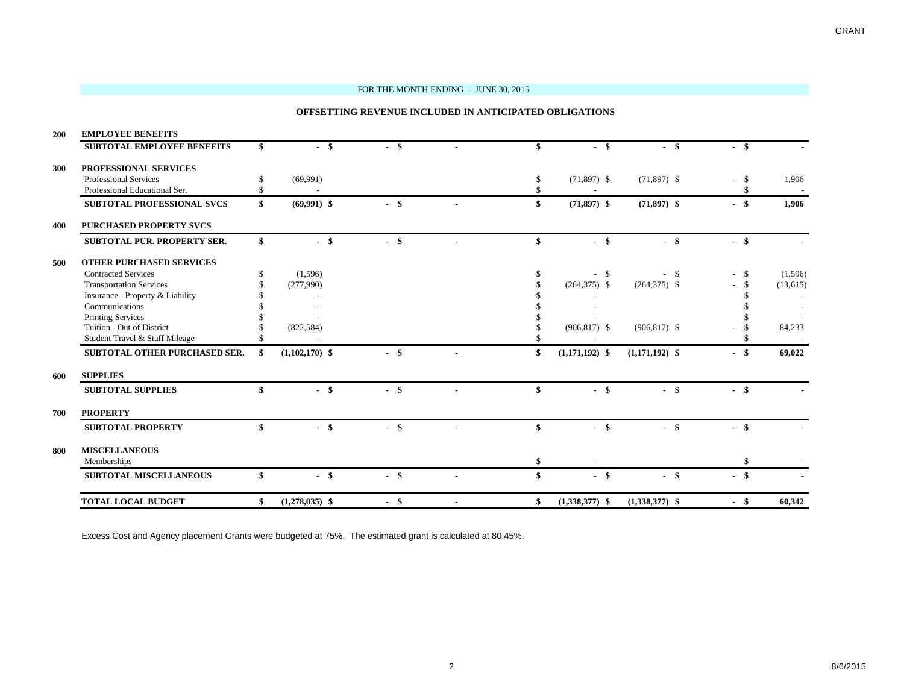#### GRANT

#### FOR THE MONTH ENDING - JUNE 30, 2015

#### **OFFSETTING REVENUE INCLUDED IN ANTICIPATED OBLIGATIONS**

| 200 | <b>EMPLOYEE BENEFITS</b>             |              |                  |        |                |                        |                  |                      |          |
|-----|--------------------------------------|--------------|------------------|--------|----------------|------------------------|------------------|----------------------|----------|
|     | <b>SUBTOTAL EMPLOYEE BENEFITS</b>    | \$           | - \$             | $-$ \$ |                | \$<br>$-$ \$           | $-$ \$           | $-$ \$               |          |
| 300 | <b>PROFESSIONAL SERVICES</b>         |              |                  |        |                |                        |                  |                      |          |
|     | Professional Services                |              | (69,991)         |        |                | \$<br>$(71,897)$ \$    | $(71,897)$ \$    | -S<br>$\overline{a}$ | 1,906    |
|     | Professional Educational Ser.        |              |                  |        |                | \$                     |                  | $\mathcal{S}$        |          |
|     | SUBTOTAL PROFESSIONAL SVCS           | \$           | $(69,991)$ \$    | $-$ \$ | $\blacksquare$ | \$<br>$(71,897)$ \$    | $(71,897)$ \$    | $-$ \$               | 1,906    |
| 400 | <b>PURCHASED PROPERTY SVCS</b>       |              |                  |        |                |                        |                  |                      |          |
|     | SUBTOTAL PUR. PROPERTY SER.          | \$           | $-$ \$           | $-$ \$ |                | \$<br>$-$ \$           | $-$ \$           | $-$ \$               |          |
| 500 | <b>OTHER PURCHASED SERVICES</b>      |              |                  |        |                |                        |                  |                      |          |
|     | <b>Contracted Services</b>           |              | (1,596)          |        |                | <sup>\$</sup>          | - \$             | - \$                 | (1,596)  |
|     | <b>Transportation Services</b>       |              | (277,990)        |        |                | $(264,375)$ \$         | $(264,375)$ \$   | <sup>\$</sup>        | (13,615) |
|     | Insurance - Property & Liability     |              |                  |        |                |                        |                  |                      |          |
|     | Communications                       |              |                  |        |                |                        |                  |                      |          |
|     | <b>Printing Services</b>             |              |                  |        |                |                        |                  |                      |          |
|     | Tuition - Out of District            |              | (822, 584)       |        |                | $(906, 817)$ \$        | $(906, 817)$ \$  | $\mathbb{S}$         | 84,233   |
|     | Student Travel & Staff Mileage       |              |                  |        |                |                        |                  | S                    |          |
|     | <b>SUBTOTAL OTHER PURCHASED SER.</b> | $\mathbf{s}$ | $(1,102,170)$ \$ | $-$ \$ | $\blacksquare$ | \$<br>$(1,171,192)$ \$ | $(1,171,192)$ \$ | $-$ \$               | 69,022   |
| 600 | <b>SUPPLIES</b>                      |              |                  |        |                |                        |                  |                      |          |
|     | <b>SUBTOTAL SUPPLIES</b>             | \$           | $-$ \$           | $-$ \$ |                | \$<br>$-$ \$           | $-$ \$           | $-$ \$               |          |
| 700 | <b>PROPERTY</b>                      |              |                  |        |                |                        |                  |                      |          |
|     | <b>SUBTOTAL PROPERTY</b>             | \$           | $-$ \$           | $-$ \$ | $\sim$         | \$<br>$-$ \$           | $-$ \$           | $-$ \$               |          |
| 800 | <b>MISCELLANEOUS</b>                 |              |                  |        |                |                        |                  |                      |          |
|     | Memberships                          |              |                  |        |                | \$                     |                  | <b>S</b>             |          |
|     | SUBTOTAL MISCELLANEOUS               | \$           | $-$ \$           | $-$ \$ |                | \$<br>$-$ \$           | $-$ \$           | $-$ \$               |          |
|     | <b>TOTAL LOCAL BUDGET</b>            | \$           | $(1,278,035)$ \$ | $-$ \$ |                | \$<br>$(1,338,377)$ \$ | $(1,338,377)$ \$ | $-$ \$               | 60,342   |
|     |                                      |              |                  |        |                |                        |                  |                      |          |

Excess Cost and Agency placement Grants were budgeted at 75%. The estimated grant is calculated at 80.45%.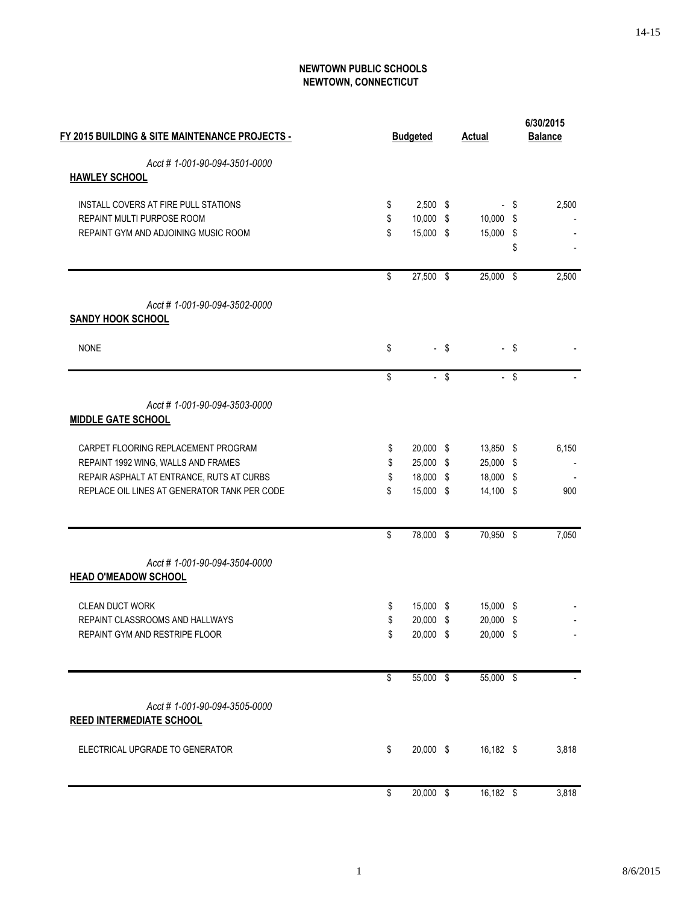# **NEWTOWN PUBLIC SCHOOLS NEWTOWN, CONNECTICUT**

| FY 2015 BUILDING & SITE MAINTENANCE PROJECTS -                  | <b>Budgeted</b>   |        | Actual      |        | 6/30/2015<br><b>Balance</b> |
|-----------------------------------------------------------------|-------------------|--------|-------------|--------|-----------------------------|
| Acct #1-001-90-094-3501-0000<br><b>HAWLEY SCHOOL</b>            |                   |        |             |        |                             |
| INSTALL COVERS AT FIRE PULL STATIONS                            | \$<br>$2,500$ \$  |        |             | - \$   | 2,500                       |
| <b>REPAINT MULTI PURPOSE ROOM</b>                               | \$<br>10,000 \$   |        | 10,000 \$   |        |                             |
| REPAINT GYM AND ADJOINING MUSIC ROOM                            | \$<br>15,000 \$   |        | 15,000      | \$     |                             |
|                                                                 |                   |        |             | \$     |                             |
|                                                                 | \$<br>$27,500$ \$ |        | 25,000 \$   |        | 2,500                       |
| Acct #1-001-90-094-3502-0000<br><b>SANDY HOOK SCHOOL</b>        |                   |        |             |        |                             |
| <b>NONE</b>                                                     | \$                | - \$   |             | - \$   |                             |
|                                                                 | \$                | $-$ \$ |             | $-$ \$ |                             |
| Acct #1-001-90-094-3503-0000<br><b>MIDDLE GATE SCHOOL</b>       |                   |        |             |        |                             |
| CARPET FLOORING REPLACEMENT PROGRAM                             | \$<br>20,000 \$   |        | 13,850 \$   |        | 6,150                       |
| REPAINT 1992 WING, WALLS AND FRAMES                             | \$<br>25,000 \$   |        | 25,000 \$   |        |                             |
| REPAIR ASPHALT AT ENTRANCE, RUTS AT CURBS                       | \$<br>18,000 \$   |        | 18,000 \$   |        |                             |
| REPLACE OIL LINES AT GENERATOR TANK PER CODE                    | \$<br>15,000 \$   |        | 14,100 \$   |        | 900                         |
|                                                                 | \$<br>78,000 \$   |        | 70,950 \$   |        | 7,050                       |
| Acct #1-001-90-094-3504-0000<br><b>HEAD O'MEADOW SCHOOL</b>     |                   |        |             |        |                             |
| <b>CLEAN DUCT WORK</b>                                          | \$<br>15,000 \$   |        | 15,000 \$   |        |                             |
| REPAINT CLASSROOMS AND HALLWAYS                                 | \$<br>20,000      | \$     | 20,000      | S      |                             |
| REPAINT GYM AND RESTRIPE FLOOR                                  | \$<br>20,000 \$   |        | 20,000 \$   |        |                             |
|                                                                 | \$<br>$55,000$ \$ |        | $55,000$ \$ |        |                             |
| Acct #1-001-90-094-3505-0000<br><b>REED INTERMEDIATE SCHOOL</b> |                   |        |             |        |                             |
| ELECTRICAL UPGRADE TO GENERATOR                                 | \$<br>20,000 \$   |        | 16,182 \$   |        | 3,818                       |
|                                                                 | \$<br>$20,000$ \$ |        | $16,182$ \$ |        | 3,818                       |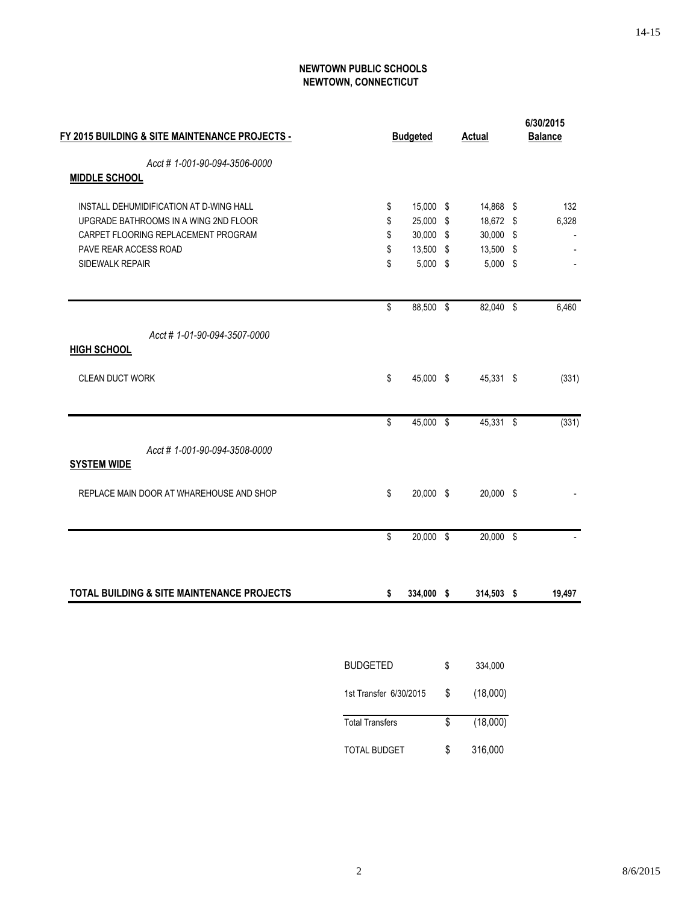### **NEWTOWN PUBLIC SCHOOLS NEWTOWN, CONNECTICUT**

| FY 2015 BUILDING & SITE MAINTENANCE PROJECTS -        |                        | <b>Budgeted</b> |                         | Actual                 | 6/30/2015<br><b>Balance</b> |
|-------------------------------------------------------|------------------------|-----------------|-------------------------|------------------------|-----------------------------|
| Acct #1-001-90-094-3506-0000<br><b>MIDDLE SCHOOL</b>  |                        |                 |                         |                        |                             |
| INSTALL DEHUMIDIFICATION AT D-WING HALL               |                        | 15,000 \$       |                         |                        | 132                         |
| UPGRADE BATHROOMS IN A WING 2ND FLOOR                 | \$<br>\$               | 25,000 \$       |                         | 14,868 \$<br>18,672 \$ | 6,328                       |
| CARPET FLOORING REPLACEMENT PROGRAM                   | \$                     | 30,000 \$       |                         | 30,000 \$              |                             |
| PAVE REAR ACCESS ROAD                                 | \$                     | 13,500 \$       |                         | 13,500 \$              |                             |
| SIDEWALK REPAIR                                       | \$                     | $5,000$ \$      |                         | $5,000$ \$             |                             |
|                                                       | \$                     | 88,500 \$       |                         | 82,040 \$              | 6,460                       |
| Acct #1-01-90-094-3507-0000                           |                        |                 |                         |                        |                             |
| <b>HIGH SCHOOL</b>                                    |                        |                 |                         |                        |                             |
| <b>CLEAN DUCT WORK</b>                                | \$                     | 45,000 \$       |                         | 45,331 \$              | (331)                       |
|                                                       | \$                     | 45,000 \$       |                         | 45,331 \$              | (331)                       |
| Acct #1-001-90-094-3508-0000                          |                        |                 |                         |                        |                             |
| <b>SYSTEM WIDE</b>                                    |                        |                 |                         |                        |                             |
| REPLACE MAIN DOOR AT WHAREHOUSE AND SHOP              | \$                     | 20,000 \$       |                         | 20,000 \$              |                             |
|                                                       | \$                     | $20,000$ \$     |                         | $20,000$ \$            |                             |
|                                                       |                        |                 |                         |                        |                             |
| <b>TOTAL BUILDING &amp; SITE MAINTENANCE PROJECTS</b> | \$                     | 334,000 \$      |                         | 314,503 \$             | 19,497                      |
|                                                       |                        |                 |                         |                        |                             |
|                                                       | <b>BUDGETED</b>        |                 | \$                      | 334,000                |                             |
|                                                       | 1st Transfer 6/30/2015 |                 | \$                      | (18,000)               |                             |
|                                                       | <b>Total Transfers</b> |                 | $\sqrt[6]{\frac{1}{2}}$ | (18,000)               |                             |

TOTAL BUDGET \$ 316,000